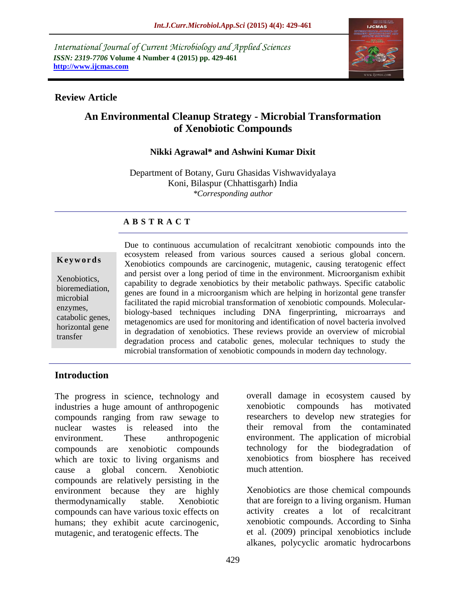*International Journal of Current Microbiology and Applied Sciences ISSN: 2319-7706* **Volume 4 Number 4 (2015) pp. 429-461 http://www.ijcmas.com** 



#### **Review Article**

# **An Environmental Cleanup Strategy - Microbial Transformation of Xenobiotic Compounds**

## **Nikki Agrawal\* and Ashwini Kumar Dixit**

Department of Botany, Guru Ghasidas Vishwavidyalaya Koni, Bilaspur (Chhattisgarh) India *\*Corresponding author*

## **A B S T R A C T**

#### **K e y w o r d s**

Xenobiotics, bioremediation, microbial enzymes, catabolic genes, horizontal gene transfer

Due to continuous accumulation of recalcitrant xenobiotic compounds into the ecosystem released from various sources caused a serious global concern. Xenobiotics compounds are carcinogenic, mutagenic, causing teratogenic effect and persist over a long period of time in the environment. Microorganism exhibit capability to degrade xenobiotics by their metabolic pathways. Specific catabolic genes are found in a microorganism which are helping in horizontal gene transfer facilitated the rapid microbial transformation of xenobiotic compounds. Molecularbiology-based techniques including DNA fingerprinting, microarrays and metagenomics are used for monitoring and identification of novel bacteria involved in degradation of xenobiotics. These reviews provide an overview of microbial degradation process and catabolic genes, molecular techniques to study the microbial transformation of xenobiotic compounds in modern day technology.

## **Introduction**

The progress in science, technology and industries a huge amount of anthropogenic compounds ranging from raw sewage to nuclear wastes is released into the environment. These anthropogenic compounds are xenobiotic compounds which are toxic to living organisms and cause a global concern. Xenobiotic compounds are relatively persisting in the environment because they are highly thermodynamically stable. Xenobiotic compounds can have various toxic effects on humans; they exhibit acute carcinogenic, mutagenic, and teratogenic effects. The

overall damage in ecosystem caused by xenobiotic compounds has motivated researchers to develop new strategies for their removal from the contaminated environment. The application of microbial technology for the biodegradation of xenobiotics from biosphere has received much attention.

Xenobiotics are those chemical compounds that are foreign to a living organism. Human activity creates a lot of recalcitrant xenobiotic compounds. According to Sinha et al. (2009) principal xenobiotics include alkanes, polycyclic aromatic hydrocarbons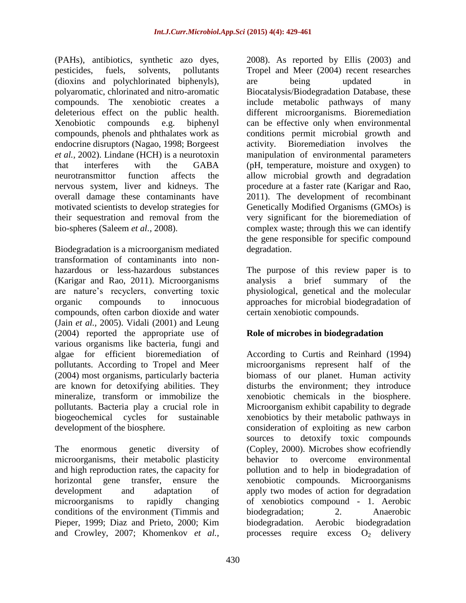(PAHs), antibiotics, synthetic azo dyes, pesticides, fuels, solvents, pollutants (dioxins and polychlorinated biphenyls), polyaromatic, chlorinated and nitro-aromatic compounds. The xenobiotic creates a deleterious effect on the public health. Xenobiotic compounds e.g. biphenyl compounds, phenols and phthalates work as endocrine disruptors (Nagao, 1998; Borgeest *et al.,* 2002). Lindane (HCH) is a neurotoxin that interferes with the GABA neurotransmittor function affects the nervous system, liver and kidneys. The overall damage these contaminants have motivated scientists to develop strategies for their sequestration and removal from the bio-spheres (Saleem *et al.,* 2008).

Biodegradation is a microorganism mediated transformation of contaminants into nonhazardous or less-hazardous substances (Karigar and Rao, 2011). Microorganisms are nature's recyclers, converting toxic organic compounds to innocuous compounds, often carbon dioxide and water (Jain *et al.,* 2005). Vidali (2001) and Leung (2004) reported the appropriate use of various organisms like bacteria, fungi and algae for efficient bioremediation of pollutants. According to Tropel and Meer (2004) most organisms, particularly bacteria are known for detoxifying abilities. They mineralize, transform or immobilize the pollutants. Bacteria play a crucial role in biogeochemical cycles for sustainable development of the biosphere.

The [enormous](http://click.thesaurus.com/click/nn1ov4?clksite=thes&clkpage=the&clkld=0&clkorgn=0&clkord=0&clkmod=1clk&clkitem=enormous&clkdest=http%3A%2F%2Fthesaurus.com%2Fbrowse%2Fenormous) genetic diversity of microorganisms, their metabolic plasticity and high reproduction rates, the capacity for horizontal gene transfer, ensure the development and adaptation of microorganisms to rapidly changing conditions of the environment (Timmis and Pieper, 1999; Diaz and Prieto, 2000; Kim and Crowley, 2007; Khomenkov *et al.,*

2008). As reported by Ellis (2003) and Tropel and Meer (2004) recent researches are being updated in Biocatalysis/Biodegradation Database, these include metabolic pathways of many different microorganisms. Bioremediation can be effective only when environmental conditions permit microbial growth and activity. Bioremediation involves the manipulation of environmental parameters (pH, temperature, moisture and oxygen) to allow microbial growth and degradation procedure at a faster rate (Karigar and Rao, 2011). The development of recombinant Genetically Modified Organisms (GMOs) is very significant for the bioremediation of complex waste; through this we can identify the gene responsible for specific compound degradation.

The purpose of this review paper is to analysis a brief summary of the physiological, genetical and the molecular approaches for microbial biodegradation of certain xenobiotic compounds.

## **Role of microbes in biodegradation**

According to Curtis and Reinhard (1994) microorganisms represent half of the biomass of our planet. Human activity disturbs the environment; they introduce xenobiotic chemicals in the biosphere. Microorganism exhibit capability to degrade xenobiotics by their metabolic pathways in consideration of exploiting as new carbon sources to detoxify toxic compounds (Copley, 2000). Microbes show ecofriendly behavior to overcome environmental pollution and to help in biodegradation of xenobiotic compounds. Microorganisms apply two modes of action for degradation of xenobiotics compound - 1. Aerobic biodegradation; 2. Anaerobic biodegradation. Aerobic biodegradation processes require excess  $O_2$  delivery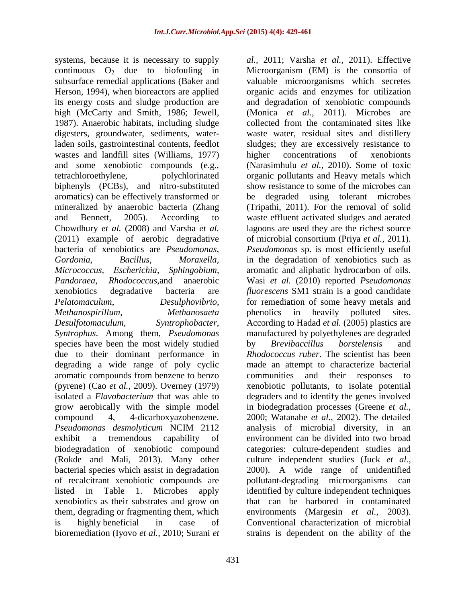systems, because it is necessary to supply continuous  $O_2$  due to biofouling in subsurface remedial applications (Baker and Herson, 1994), when bioreactors are applied its energy costs and sludge production are high (McCarty and Smith, 1986; Jewell, 1987). Anaerobic habitats, including sludge digesters, groundwater, sediments, waterladen soils, gastrointestinal contents, feedlot wastes and landfill sites (Williams, 1977) and some xenobiotic compounds (e.g., tetrachloroethylene, polychlorinated biphenyls (PCBs), and nitro-substituted aromatics) can be effectively transformed or mineralized by anaerobic bacteria (Zhang and Bennett, 2005). According to Chowdhury *et al.* (2008) and Varsha *et al.*  (2011) example of aerobic degradative bacteria of xenobiotics are *Pseudomonas*, *Gordonia*, *Bacillus*, *Moraxella*, *Micrococcus, Escherichia*, *Sphingobium*, *Pandoraea*, *Rhodococcus*,and anaerobic xenobiotics degradative bacteria are *Pelatomaculum*, *Desulphovibrio*, *Methanospirillum*, *Methanosaeta Desulfotomaculum*, *Syntrophobacter*, *Syntrophus*. Among them, *Pseudomonas* species have been the most widely studied due to their dominant performance in degrading a wide range of poly cyclic aromatic compounds from benzene to benzo (pyrene) (Cao *et al.,* 2009). Overney (1979) isolated a *Flavobacterium* that was able to grow aerobically with the simple model compound 4, 4-dicarboxyazobenzene. *Pseudomonas desmolyticum* NCIM 2112 exhibit a tremendous capability of biodegradation of xenobiotic compound (Rokde and Mali, 2013). Many other bacterial species which assist in degradation of recalcitrant xenobiotic compounds are listed in Table 1. Microbes apply xenobiotics as their substrates and grow on them, degrading or fragmenting them, which is highly [beneficial](http://click.thesaurus.com/click/nn1ov4?clksite=thes&clkpage=the&clkld=0&clkorgn=0&clkord=0&clkmod=1clk&clkitem=beneficial&clkdest=http%3A%2F%2Fthesaurus.com%2Fbrowse%2Fbeneficial) in case of bioremediation (Iyovo *et al.,* 2010; Surani *et* 

*al.,* 2011; Varsha *et al.,* 2011). Effective Microorganism (EM) is the consortia of valuable microorganisms which secretes organic acids and enzymes for utilization and degradation of xenobiotic compounds (Monica *et al.,* 2011). Microbes are collected from the contaminated sites like waste water, residual sites and distillery sludges; they are excessively resistance to higher concentrations of xenobionts (Narasimhulu *et al.,* 2010). Some of toxic organic pollutants and Heavy metals which show resistance to some of the microbes can be degraded using tolerant microbes (Tripathi, 2011). For the removal of solid waste effluent activated sludges and aerated lagoons are used they are the richest source of microbial consortium (Priya *et al.,* 2011). *Pseudomonas* sp. is most efficiently useful in the degradation of xenobiotics such as aromatic and aliphatic hydrocarbon of oils. Wasi *et al.* (2010) reported *Pseudomonas fluorescens* SM1 strain is a good candidate for remediation of some heavy metals and phenolics in heavily polluted sites. According to Hadad *et al.* (2005) plastics are manufactured by polyethylenes are degraded by *Brevibaccillus borstelensis* and *Rhodococcus ruber*. The scientist has been made an attempt to characterize bacterial communities and their responses to xenobiotic pollutants, to isolate potential degraders and to identify the genes involved in biodegradation processes (Greene *et al.,* 2000; Watanabe *et al.,* 2002). The detailed analysis of microbial diversity, in an environment can be divided into two broad categories: culture-dependent studies and culture independent studies (Juck *et al.,* 2000). A wide range of unidentified pollutant-degrading microorganisms can identified by culture independent techniques that can be harbored in contaminated environments (Margesin *et al.,* 2003). Conventional characterization of microbial strains is dependent on the ability of the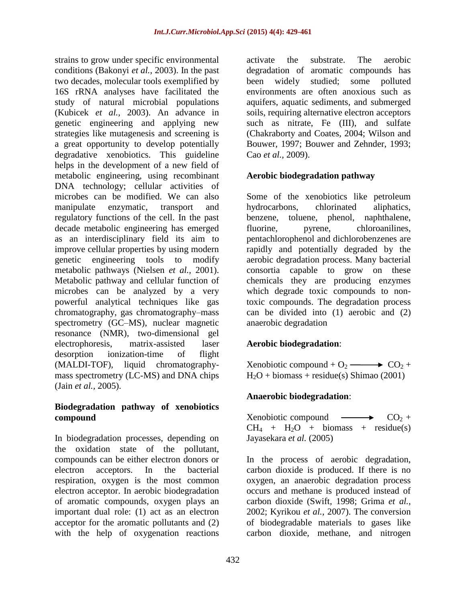strains to grow under specific environmental conditions (Bakonyi *et al.,* 2003). In the past two decades, molecular tools exemplified by 16S rRNA analyses have facilitated the study of natural microbial populations (Kubicek *et al.,* 2003). An advance in genetic engineering and applying new strategies like mutagenesis and screening is a great opportunity to develop potentially degradative xenobiotics. This guideline helps in the development of a new field of metabolic engineering, using recombinant DNA technology; cellular activities of microbes can be modified. We can also manipulate enzymatic, transport and regulatory functions of the cell. In the past decade metabolic engineering has emerged as an interdisciplinary field its aim to improve cellular properties by using modern genetic engineering tools to modify metabolic pathways (Nielsen *et al.,* 2001). Metabolic pathway and cellular function of microbes can be analyzed by a very powerful analytical techniques like gas chromatography, gas chromatography–mass spectrometry (GC–MS), nuclear magnetic resonance (NMR), two-dimensional gel electrophoresis, matrix-assisted laser desorption ionization-time of flight (MALDI-TOF), liquid chromatographymass spectrometry (LC-MS) and DNA chips (Jain *et al.,* 2005).

## **Biodegradation pathway of xenobiotics compound**

In biodegradation processes, depending on the oxidation state of the pollutant, compounds can be either electron donors or electron acceptors. In the bacterial respiration, oxygen is the most common electron acceptor. In aerobic biodegradation of aromatic compounds, oxygen plays an important dual role: (1) act as an electron acceptor for the aromatic pollutants and (2) with the help of oxygenation reactions

activate the substrate. The aerobic degradation of aromatic compounds has been widely studied; some polluted environments are often anoxious such as aquifers, aquatic sediments, and submerged soils, requiring alternative electron acceptors such as nitrate, Fe (III), and sulfate (Chakraborty and Coates, 2004; Wilson and Bouwer, 1997; Bouwer and Zehnder, 1993; Cao *et al.,* 2009).

## **Aerobic biodegradation pathway**

Some of the xenobiotics like petroleum hydrocarbons, chlorinated aliphatics, benzene, toluene, phenol, naphthalene, fluorine, pyrene, chloroanilines, pentachlorophenol and dichlorobenzenes are rapidly and potentially degraded by the aerobic degradation process. Many bacterial consortia capable to grow on these chemicals they are producing enzymes which degrade toxic compounds to nontoxic compounds. The degradation process can be divided into (1) aerobic and (2) anaerobic degradation

## **Aerobic biodegradation**:

Xenobiotic compound +  $O_2 \longrightarrow CO_2 +$  $H_2O$  + biomass + residue(s) Shimao (2001)

## **Anaerobic biodegradation**:

Xenobiotic compound  $\longrightarrow$   $CO<sub>2</sub> +$  $CH<sub>4</sub> + H<sub>2</sub>O + \text{biomass} + \text{residue(s)}$ Jayasekara *et al.* (2005)

In the process of aerobic degradation, carbon dioxide is produced. If there is no oxygen, an anaerobic degradation process occurs and methane is produced instead of carbon dioxide (Swift, 1998; Grima *et al.,* 2002; Kyrikou *et al.,* 2007). The conversion of biodegradable materials to gases like carbon dioxide, methane, and nitrogen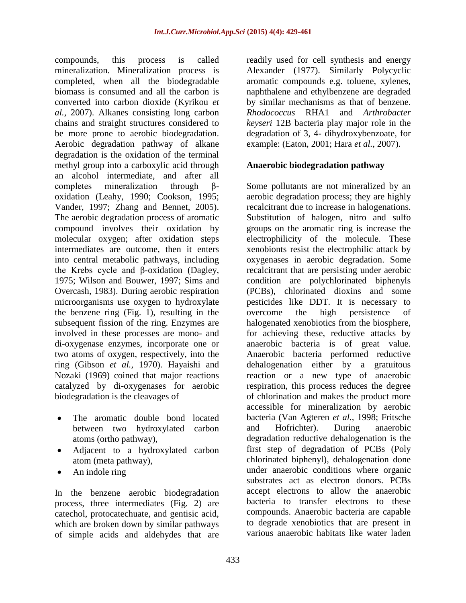compounds, this process is called mineralization. Mineralization process is completed, when all the biodegradable biomass is consumed and all the carbon is converted into carbon dioxide (Kyrikou *et al.,* 2007). Alkanes consisting long carbon chains and straight structures considered to be more prone to aerobic biodegradation. Aerobic degradation pathway of alkane degradation is the oxidation of the terminal methyl group into a carboxylic acid through an alcohol intermediate, and after all completes mineralization through βoxidation (Leahy, 1990; Cookson, 1995; Vander, 1997; Zhang and Bennet, 2005). The aerobic degradation process of aromatic compound involves their oxidation by molecular oxygen; after oxidation steps intermediates are outcome, then it enters into central metabolic pathways, including the Krebs cycle and β-oxidation (Dagley, 1975; Wilson and Bouwer, 1997; Sims and Overcash, 1983). During aerobic respiration microorganisms use oxygen to hydroxylate the benzene ring (Fig. 1), resulting in the subsequent fission of the ring. Enzymes are involved in these processes are mono- and di-oxygenase enzymes, incorporate one or two atoms of oxygen, respectively, into the ring (Gibson *et al.,* 1970). Hayaishi and Nozaki (1969) coined that major reactions catalyzed by di-oxygenases for aerobic biodegradation is the cleavages of

- The aromatic double bond located between two hydroxylated carbon atoms (ortho pathway),
- Adjacent to a hydroxylated carbon atom (meta pathway),
- An indole ring

In the benzene aerobic biodegradation process, three intermediates (Fig. 2) are catechol, protocatechuate, and gentisic acid, which are broken down by similar pathways of simple acids and aldehydes that are

readily used for cell synthesis and energy Alexander (1977). Similarly Polycyclic aromatic compounds e.g. toluene, xylenes, naphthalene and ethylbenzene are degraded by similar mechanisms as that of benzene. *Rhodococcus* RHA1 and *Arthrobacter keyseri* 12B bacteria play major role in the degradation of 3, 4- dihydroxybenzoate, for example: (Eaton, 2001; Hara *et al.,* 2007).

## **Anaerobic biodegradation pathway**

Some pollutants are not mineralized by an aerobic degradation process; they are highly recalcitrant due to increase in halogenations. Substitution of halogen, nitro and sulfo groups on the aromatic ring is increase the electrophilicity of the molecule. These xenobionts resist the electrophilic attack by oxygenases in aerobic degradation. Some recalcitrant that are persisting under aerobic condition are polychlorinated biphenyls (PCBs), chlorinated dioxins and some pesticides like DDT. It is necessary to overcome the high persistence of halogenated xenobiotics from the biosphere, for achieving these, reductive attacks by anaerobic bacteria is of great value. Anaerobic bacteria performed reductive dehalogenation either by a gratuitous reaction or a new type of anaerobic respiration, this process reduces the degree of chlorination and makes the product more accessible for mineralization by aerobic bacteria (Van Agteren *et al.,* 1998; Fritsche and Hofrichter). During anaerobic degradation reductive dehalogenation is the first step of degradation of PCBs (Poly chlorinated biphenyl), dehalogenation done under anaerobic conditions where organic substrates act as electron donors. PCBs accept electrons to allow the anaerobic bacteria to transfer electrons to these compounds. Anaerobic bacteria are capable to degrade xenobiotics that are present in various anaerobic habitats like water laden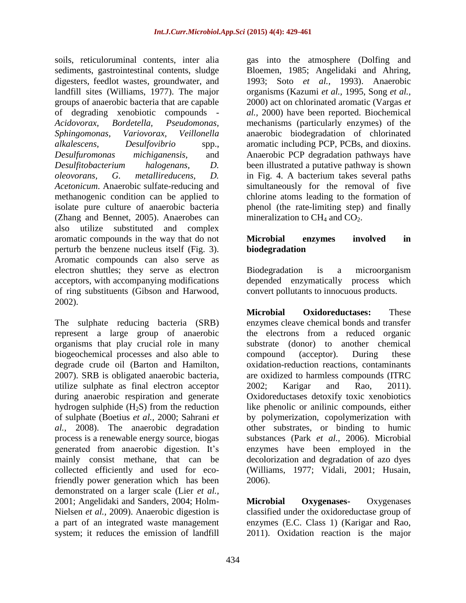soils, reticuloruminal contents, inter alia sediments, gastrointestinal contents, sludge digesters, feedlot wastes, groundwater, and landfill sites (Williams, 1977). The major groups of anaerobic bacteria that are capable of degrading xenobiotic compounds - *Acidovorax, Bordetella, Pseudomonas, Sphingomonas, Variovorax, Veillonella alkalescens, Desulfovibrio* spp., *Desulfuromonas michiganensis,* and *Desulfitobacterium halogenans, D. oleovorans, G. metallireducens, D. Acetonicum*. Anaerobic sulfate-reducing and methanogenic condition can be applied to isolate pure culture of anaerobic bacteria (Zhang and Bennet, 2005). Anaerobes can also utilize substituted and complex aromatic compounds in the way that do not perturb the benzene nucleus itself (Fig. 3). Aromatic compounds can also serve as electron shuttles; they serve as electron acceptors, with accompanying modifications of ring substituents (Gibson and Harwood, 2002).

The sulphate reducing bacteria (SRB) represent a large group of anaerobic organisms that play crucial role in many biogeochemical processes and also able to degrade crude oil (Barton and Hamilton, 2007). SRB is obligated anaerobic bacteria, utilize sulphate as final electron acceptor during anaerobic respiration and generate hydrogen sulphide  $(H<sub>2</sub>S)$  from the reduction of sulphate (Boetius *et al.,* 2000; Sahrani *et al.,* 2008). The anaerobic degradation process is a renewable energy source, biogas generated from anaerobic digestion. It's mainly consist methane, that can be collected efficiently and used for ecofriendly power generation which has been demonstrated on a larger scale (Lier *et al.,* 2001; Angelidaki and Sanders, 2004; Holm-Nielsen *et al.,* 2009). Anaerobic digestion is a part of an integrated waste management system; it reduces the emission of landfill

gas into the atmosphere (Dolfing and Bloemen, 1985; Angelidaki and Ahring, 1993; Soto *et al.,* 1993). Anaerobic organisms (Kazumi *et al.,* 1995, Song *et al.,* 2000) act on chlorinated aromatic (Vargas *et al.,* 2000) have been reported. Biochemical mechanisms (particularly enzymes) of the anaerobic biodegradation of chlorinated aromatic including PCP, PCBs, and dioxins. Anaerobic PCP degradation pathways have been illustrated a putative pathway is shown in Fig. 4. A bacterium takes several paths simultaneously for the removal of five chlorine atoms leading to the formation of phenol (the rate-limiting step) and finally mineralization to  $CH<sub>4</sub>$  and  $CO<sub>2</sub>$ .

## **Microbial enzymes involved in biodegradation**

Biodegradation is a microorganism depended enzymatically process which convert pollutants to innocuous products.

**Microbial Oxidoreductases:** These enzymes cleave chemical bonds and transfer the electrons from a reduced organic substrate (donor) to another chemical compound (acceptor). During these oxidation-reduction reactions, contaminants are oxidized to harmless compounds (ITRC 2002; Karigar and Rao, 2011). Oxidoreductases detoxify toxic xenobiotics like phenolic or anilinic compounds, either by polymerization, copolymerization with other substrates, or binding to humic substances (Park *et al.,* 2006). Microbial enzymes have been employed in the decolorization and degradation of azo dyes (Williams, 1977; Vidali, 2001; Husain, 2006).

**Microbial Oxygenases-** Oxygenases classified under the oxidoreductase group of enzymes (E.C. Class 1) (Karigar and Rao, 2011). Oxidation reaction is the major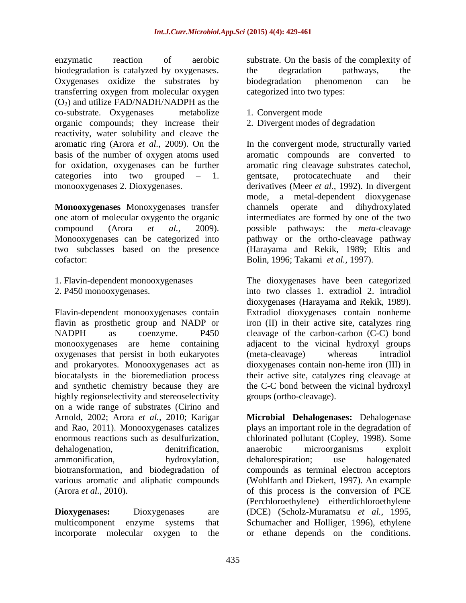enzymatic reaction of aerobic biodegradation is catalyzed by oxygenases. Oxygenases oxidize the substrates by transferring oxygen from molecular oxygen  $(O<sub>2</sub>)$  and utilize FAD/NADH/NADPH as the co-substrate. Oxygenases metabolize organic compounds; they increase their reactivity, water solubility and cleave the aromatic ring (Arora *et al.,* 2009). On the basis of the number of oxygen atoms used for oxidation, oxygenases can be further categories into two grouped – 1. monooxygenases 2. Dioxygenases.

**Monooxygenases** Monoxygenases transfer one atom of molecular oxygento the organic compound (Arora *et al.,* 2009). Monooxygenases can be categorized into two subclasses based on the presence cofactor:

- 1. Flavin-dependent monooxygenases
- 2. P450 monooxygenases.

Flavin-dependent monooxygenases contain flavin as prosthetic group and NADP or NADPH as coenzyme. P450 monooxygenases are heme containing oxygenases that persist in both eukaryotes and prokaryotes. Monooxygenases act as biocatalysts in the bioremediation process and synthetic chemistry because they are highly regionselectivity and stereoselectivity on a wide range of substrates (Cirino and Arnold, 2002; Arora *et al.,* 2010; Karigar and Rao, 2011). Monooxygenases catalizes enormous reactions such as desulfurization, dehalogenation, denitrification, ammonification, hydroxylation, biotransformation, and biodegradation of various aromatic and aliphatic compounds (Arora *et al.,* 2010).

**Dioxygenases:** Dioxygenases are multicomponent enzyme systems that incorporate molecular oxygen to the substrate. On the basis of the complexity of the degradation pathways, the biodegradation phenomenon can be categorized into two types:

- 1. Convergent mode
- 2. Divergent modes of degradation

In the convergent mode, structurally varied aromatic compounds are converted to aromatic ring cleavage substrates catechol, gentsate, protocatechuate and their derivatives (Meer *et al.,* 1992). In divergent mode, a metal-dependent dioxygenase channels operate and dihydroxylated intermediates are formed by one of the two possible pathways: the *meta*-cleavage pathway or the ortho-cleavage pathway (Harayama and Rekik, 1989; Eltis and Bolin, 1996; Takami *et al.,* 1997).

The dioxygenases have been categorized into two classes 1. extradiol 2. intradiol dioxygenases (Harayama and Rekik, 1989). Extradiol dioxygenases contain nonheme iron (II) in their active site, catalyzes ring cleavage of the carbon-carbon (C-C) bond adjacent to the vicinal hydroxyl groups (meta-cleavage) whereas intradiol dioxygenases contain non-heme iron (III) in their active site, catalyzes ring cleavage at the C-C bond between the vicinal hydroxyl groups (ortho-cleavage).

**Microbial Dehalogenases:** Dehalogenase plays an important role in the degradation of chlorinated pollutant (Copley, 1998). Some anaerobic microorganisms exploit dehalorespiration; use halogenated compounds as terminal electron acceptors (Wohlfarth and Diekert, 1997). An example of this process is the conversion of PCE (Perchloroethylene) eitherdichloroethylene (DCE) (Scholz-Muramatsu *et al.,* 1995, Schumacher and Holliger, 1996), ethylene or ethane depends on the conditions.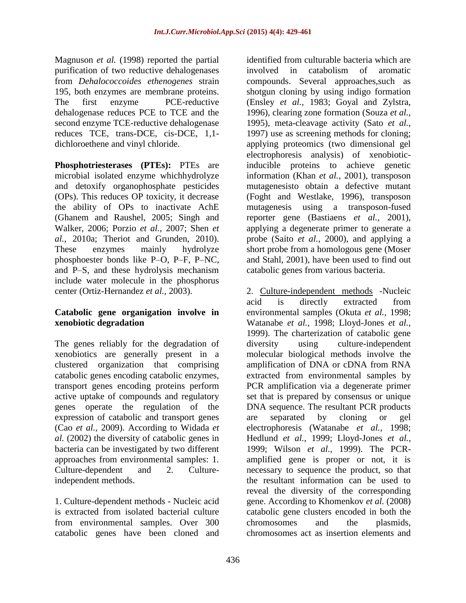Magnuson *et al.* (1998) reported the partial purification of two reductive dehalogenases from *Dehalococcoides ethenogenes* strain 195, both enzymes are membrane proteins. The first enzyme PCE-reductive dehalogenase reduces PCE to TCE and the second enzyme TCE-reductive dehalogenase reduces TCE, trans-DCE, cis-DCE*,* 1,1 dichloroethene and vinyl chloride.

**Phosphotriesterases** (PTEs): PTEs are microbial isolated enzyme whichhydrolyze and detoxify organophosphate pesticides (OPs). This reduces OP toxicity, it decrease the ability of OPs to inactivate AchE (Ghanem and Raushel, 2005; Singh and Walker, 2006; Porzio *et al.,* 2007; Shen *et al.,* 2010a; Theriot and Grunden, 2010). These enzymes mainly hydrolyze phosphoester bonds like P–O, P–F, P–NC, and P–S, and these hydrolysis mechanism include water molecule in the phosphorus center (Ortiz-Hernandez *et al.,* 2003).

## **Catabolic gene organigation involve in xenobiotic degradation**

The genes reliably for the degradation of xenobiotics are generally present in a clustered organization that comprising catabolic genes encoding catabolic enzymes, transport genes encoding proteins perform active uptake of compounds and regulatory genes operate the regulation of the expression of catabolic and transport genes (Cao *et al.,* 2009). According to Widada *et al.* (2002) the diversity of catabolic genes in bacteria can be investigated by two different approaches from environmental samples: 1. Culture-dependent and 2. Cultureindependent methods.

1. Culture-dependent methods - Nucleic acid is extracted from isolated bacterial culture from environmental samples. Over 300 catabolic genes have been cloned and

identified from culturable bacteria which are involved in catabolism of aromatic compounds. Several approaches,such as shotgun cloning by using indigo formation (Ensley *et al.,* 1983; Goyal and Zylstra, 1996), clearing zone formation (Souza *et al.,* 1995), meta-cleavage activity (Sato *et al.,* 1997) use as screening methods for cloning; applying proteomics (two dimensional gel electrophoresis analysis) of xenobioticinducible proteins to achieve genetic information (Khan *et al.,* 2001), transposon mutagenesisto obtain a defective mutant (Foght and Westlake, 1996), transposon mutagenesis using a transposon-fused reporter gene (Bastiaens *et al.,* 2001), applying a degenerate primer to generate a probe (Saito *et al.,* 2000), and applying a short probe from a homologous gene (Moser and Stahl, 2001), have been used to find out catabolic genes from various bacteria.

2. Culture-independent methods -Nucleic acid is directly extracted from environmental samples (Okuta *et al.,* 1998; Watanabe *et al.,* 1998; Lloyd-Jones *et al.,* 1999). The charterization of catabolic gene diversity using culture-independent molecular biological methods involve the amplification of DNA or cDNA from RNA extracted from environmental samples by PCR amplification via a degenerate primer set that is prepared by consensus or unique DNA sequence. The resultant PCR products are separated by cloning or gel electrophoresis (Watanabe *et al.,* 1998; Hedlund *et al.,* 1999; Lloyd-Jones *et al.,* 1999; Wilson *et al.,* 1999). The PCRamplified gene is proper or not, it is necessary to sequence the product, so that the resultant information can be used to reveal the diversity of the corresponding gene. According to Khomenkov *et al.* (2008) catabolic gene clusters encoded in both the chromosomes and the plasmids, chromosomes act as insertion elements and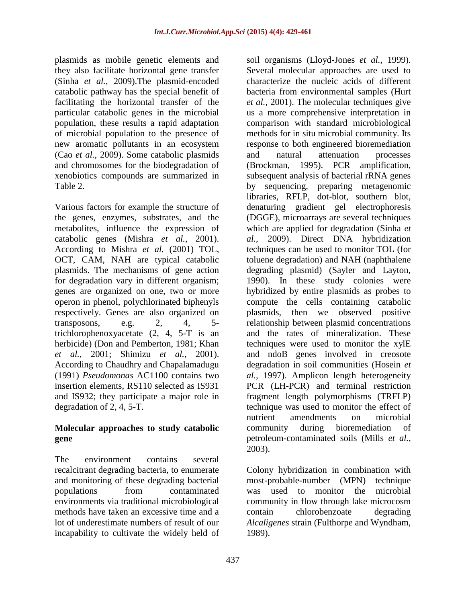plasmids as mobile genetic elements and they also facilitate horizontal gene transfer (Sinha *et al.,* 2009).The plasmid-encoded catabolic pathway has the special benefit of facilitating the horizontal transfer of the particular catabolic genes in the microbial population, these results a rapid adaptation of microbial population to the presence of new aromatic pollutants in an ecosystem (Cao *et al.,* 2009). Some catabolic plasmids and chromosomes for the biodegradation of xenobiotics compounds are summarized in Table 2.

Various factors for example the structure of the genes, enzymes, substrates, and the metabolites, influence the expression of catabolic genes (Mishra *et al.,* 2001). According to Mishra *et al.* (2001) TOL, OCT, CAM, NAH are typical catabolic plasmids. The mechanisms of gene action for degradation vary in different organism; genes are organized on one, two or more operon in phenol, polychlorinated biphenyls respectively. Genes are also organized on transposons, e.g.  $2, 4, 5$ trichlorophenoxyacetate (2, 4, 5-T is an herbicide) (Don and Pemberton, 1981; Khan *et al.,* 2001; Shimizu *et al.,* 2001). According to Chaudhry and Chapalamadugu (1991) *Pseudomonas* AC1100 contains two insertion elements, RS110 selected as IS931 and IS932; they participate a major role in degradation of 2, 4, 5-T.

## **Molecular approaches to study catabolic gene**

The environment contains several recalcitrant degrading bacteria, to enumerate and monitoring of these degrading bacterial populations from contaminated environments via traditional microbiological methods have taken an excessive time and a lot of underestimate numbers of result of our incapability to cultivate the widely held of

soil organisms (Lloyd-Jones *et al.,* 1999). Several molecular approaches are used to characterize the nucleic acids of different bacteria from environmental samples (Hurt *et al.,* 2001). The molecular techniques give us a more comprehensive interpretation in comparison with standard microbiological methods for in situ microbial community. Its response to both engineered bioremediation and natural attenuation processes (Brockman, 1995). PCR amplification, subsequent analysis of bacterial rRNA genes by sequencing, preparing metagenomic libraries, RFLP, dot-blot, southern blot, denaturing gradient gel electrophoresis (DGGE), microarrays are several techniques which are applied for degradation (Sinha *et al.,* 2009). Direct DNA hybridization techniques can be used to monitor TOL (for toluene degradation) and NAH (naphthalene degrading plasmid) (Sayler and Layton, 1990). In these study colonies were hybridized by entire plasmids as probes to compute the cells containing catabolic plasmids, then we observed positive relationship between plasmid concentrations and the rates of mineralization. These techniques were used to monitor the xylE and ndoB genes involved in creosote degradation in soil communities (Hosein *et al.,* 1997). Amplicon length heterogeneity PCR (LH-PCR) and terminal restriction fragment length polymorphisms (TRFLP) technique was used to monitor the effect of nutrient amendments on microbial community during bioremediation of petroleum-contaminated soils (Mills *et al.,* 2003).

Colony hybridization in combination with most-probable-number (MPN) technique was used to monitor the microbial community in flow through lake microcosm contain chlorobenzoate degrading *Alcaligenes* strain (Fulthorpe and Wyndham, 1989).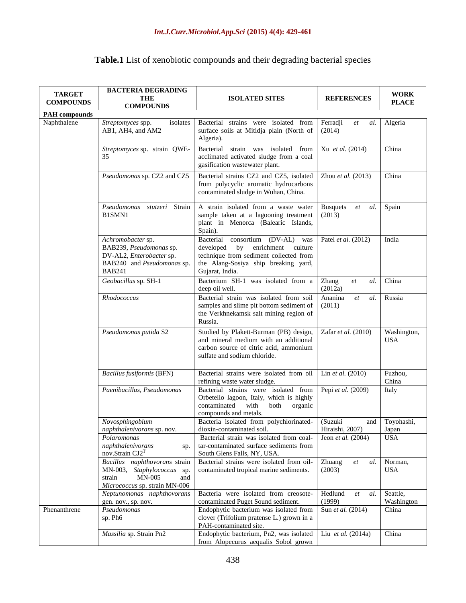| <b>TARGET</b><br><b>COMPOUNDS</b> | <b>BACTERIA DEGRADING</b><br>THE<br><b>COMPOUNDS</b>                                                                    | <b>ISOLATED SITES</b>                                                                                                                                                                        | <b>REFERENCES</b>                      | <b>WORK</b><br><b>PLACE</b> |  |
|-----------------------------------|-------------------------------------------------------------------------------------------------------------------------|----------------------------------------------------------------------------------------------------------------------------------------------------------------------------------------------|----------------------------------------|-----------------------------|--|
| <b>PAH</b> compounds              |                                                                                                                         |                                                                                                                                                                                              |                                        |                             |  |
| Naphthalene                       | Streptomyces spp.<br>isolates<br>AB1, AH4, and AM2                                                                      | Bacterial strains were isolated from<br>surface soils at Mitidja plain (North of<br>Algeria).                                                                                                | Ferradji<br>et<br>al.<br>(2014)        | Algeria                     |  |
|                                   | Streptomyces sp. strain QWE-<br>35                                                                                      | Bacterial strain was isolated from<br>acclimated activated sludge from a coal<br>gasification wastewater plant.                                                                              | Xu et al. (2014)                       | China                       |  |
|                                   | Pseudomonas sp. CZ2 and CZ5                                                                                             | Bacterial strains CZ2 and CZ5, isolated<br>from polycyclic aromatic hydrocarbons<br>contaminated sludge in Wuhan, China.                                                                     | Zhou et al. $(2013)$                   | China                       |  |
|                                   | Pseudomonas<br>Strain<br><i>stutzeri</i><br>B1SMN1                                                                      | A strain isolated from a waste water<br>sample taken at a lagooning treatment<br>plant in Menorca (Balearic Islands,<br>Spain).                                                              | <b>Busquets</b><br>al.<br>et<br>(2013) | Spain                       |  |
|                                   | Achromobacter sp.<br>BAB239, Pseudomonas sp.<br>DV-AL2, Enterobacter sp.<br>BAB240 and Pseudomonas sp.<br><b>BAB241</b> | $(DV-AL)$<br>Bacterial<br>consortium<br>was<br>enrichment<br>developed<br>by<br>culture<br>technique from sediment collected from<br>the Alang-Sosiya ship breaking yard,<br>Gujarat, India. | Patel et al. (2012)                    | India                       |  |
|                                   | Geobacillus sp. SH-1                                                                                                    | Bacterium SH-1 was isolated from a<br>Zhang<br>deep oil well.<br>(2012a)                                                                                                                     |                                        | China                       |  |
|                                   | Rhodococcus                                                                                                             | Bacterial strain was isolated from soil<br>samples and slime pit bottom sediment of<br>the Verkhnekamsk salt mining region of<br>Russia.                                                     | Ananina<br>al.<br>et<br>(2011)         | Russia                      |  |
|                                   | Pseudomonas putida S2                                                                                                   | Studied by Plakett-Burman (PB) design,<br>and mineral medium with an additional<br>carbon source of citric acid, ammonium<br>sulfate and sodium chloride.                                    | Zafar et al. (2010)                    | Washington,<br><b>USA</b>   |  |
|                                   | <b>Bacillus fusiformis (BFN)</b>                                                                                        | Bacterial strains were isolated from oil<br>refining waste water sludge.                                                                                                                     | Lin et al. (2010)                      | Fuzhou,<br>China            |  |
|                                   | Paenibacillus, Pseudomonas                                                                                              | Bacterial strains were isolated from<br>Orbetello lagoon, Italy, which is highly<br>contaminated<br>with<br>organic<br>both<br>compounds and metals.                                         | Pepi et al. (2009)                     | Italy                       |  |
|                                   | Novosphingobium<br>naphthalenivorans sp. nov.                                                                           | Bacteria isolated from polychlorinated-<br>dioxin-contaminated soil.                                                                                                                         | (Suzuki<br>and<br>Hiraishi, 2007)      | Toyohashi,<br>Japan         |  |
|                                   | Polaromonas<br>naphthalenivorans<br>sp.<br>nov.Strain CJ2 <sup>T</sup>                                                  | Bacterial strain was isolated from coal-<br>tar-contaminated surface sediments from<br>South Glens Falls, NY, USA.                                                                           | Jeon et al. (2004)                     | <b>USA</b>                  |  |
|                                   | Bacillus naphthovorans strain<br>MN-003, Staphylococcus sp.<br>strain<br>MN-005<br>and<br>Micrococcus sp. strain MN-006 | Bacterial strains were isolated from oil-<br>contaminated tropical marine sediments.                                                                                                         | Zhuang<br>al.<br>et<br>(2003)          | Norman,<br><b>USA</b>       |  |
|                                   | Neptunomonas naphthovorans<br>gen. nov., sp. nov.                                                                       | Bacteria were isolated from creosote-<br>contaminated Puget Sound sediment.                                                                                                                  | Hedlund<br>et<br>al.<br>(1999)         | Seattle,<br>Washington      |  |
| Phenanthrene                      | Pseudomonas<br>sp. Ph6                                                                                                  | Endophytic bacterium was isolated from<br>clover (Trifolium pratense L.) grown in a<br>PAH-contaminated site.                                                                                | Sun et al. (2014)                      | China                       |  |
|                                   | Massilia sp. Strain Pn2                                                                                                 | Endophytic bacterium, Pn2, was isolated<br>from Alopecurus aequalis Sobol grown                                                                                                              | Liu et al. (2014a)                     | China                       |  |

## **Table.1** List of xenobiotic compounds and their degrading bacterial species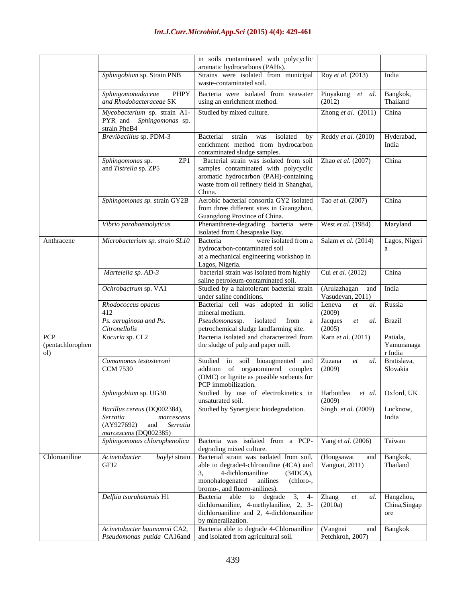#### in soils contaminated with polycyclic aromatic hydrocarbons (PAHs). *Sphingobium* sp. Strain PNB Strains were isolated from municipal waste-contaminated soil. Roy *et al.* (2013) India *Sphingomonadaceae* PHPY *and Rhodobacteraceae* SK Bacteria were isolated from seawater using an enrichment method. Pinyakong *et al.*  (2012) Bangkok, Thailand *Mycobacterium* sp. strain A1- PYR and *Sphingomonas* sp. strain PheB4 Studied by mixed culture. Zhong *et al.* (2011) China *Brevibacillus* sp. PDM-3 Bacterial strain was isolated by enrichment method from hydrocarbon contaminated sludge samples. Reddy *et al.* (2010) Hyderabad, India *Sphingomonas* sp. ZP1 and *Tistrella* sp. ZP5 Bacterial strain was isolated from soil samples contaminated with polycyclic aromatic hydrocarbon (PAH)-containing waste from oil refinery field in Shanghai, China. Zhao *et al.* (2007) China *Sphingomonas sp.* strain GY2B Aerobic bacterial consortia GY2 isolated from three different sites in Guangzhou, Guangdong Province of China. Tao *et al.* (2007) China *Vibrio parahaemolyticus* Phenanthrene-degrading bacteria were isolated from Chesapeake Bay. West *et al.* (1984) Maryland Anthracene *Microbacterium sp. strain SL10* Bacteria were isolated from a hydrocarbon-contaminated soil at a mechanical engineering workshop in Lagos, Nigeria. Salam *et al.* (2014) Lagos, Nigeri a *Martelella sp. AD-3* bacterial strain was isolated from highly saline petroleum-contaminated soil. Cui *et al.* (2012) China *Ochrobactrum* sp. VA1 Studied by a halotolerant bacterial strain under saline conditions. (Arulazhagan and Vasudevan, 2011) India *Rhodococcus opacus* 412 Bacterial cell was adopted in solid mineral medium. Leneva *et al.*  (2009) Russia *Ps. aeruginosa and Ps. Citronellolis Pseudomonas*sp. isolated from a petrochemical sludge landfarming site. Jacques *et al.*  (2005) Brazil PCP (pentachlorophen ol) *Kocuria* sp. CL2 Bacteria isolated and characterized from the sludge of pulp and paper mill. Karn *et al.* (2011) Patiala, Yamunanaga r India *Comamonas testosteroni* CCM 7530 Studied in soil bioaugmented and addition of organomineral complex (OMC) or lignite as possible sorbents for PCP immobilization. Zuzana *et al.*  (2009) Bratislava, Slovakia *Sphingobium* sp. UG30 Studied by use of electrokinetics in unsaturated soil. Harbottlea *et al.*  (2009) Oxford, UK *Bacillus cereus* (DQ002384), *Serratia marcescens* (AY927692) and *Serratia marcescens* (DQ002385) Studied by Synergistic biodegradation. Singh *et al.* (2009) Lucknow, India *Sphingomonas chlorophenolica* Bacteria was isolated from a PCPdegrading mixed culture. Yang *et al.* (2006) Taiwan Chloroaniline *Acinetobacter baylyi* strain GFI<sub>2</sub> Bacterial strain was isolated from soil, able to degrade4-chlroaniline (4CA) and 3, 4-dichloroaniline (34DCA), monohalogenated anilines (chloro-, bromo-, and fluoro-anilines). [\(Hongsawat](http://www.sciencedirect.com/science/article/pii/S030438941001561X) an[d](http://www.sciencedirect.com/science/article/pii/S030438941001561X) [Vangnai,](http://www.sciencedirect.com/science/article/pii/S030438941001561X) 2011) Bangkok, Thailand *Delftia tsuruhatensis* H1 Bacteria able to degrade 3, 4 dichloroaniline, 4-methylaniline, 2, 3 dichloroaniline and 2, 4-dichloroaniline by mineralization. Zhang *et al.*  (2010a) Hangzhou, China,Singap ore *Acinetobacter baumannii* CA2, *Pseudomonas putida* CA16and Bacteria able to degrade 4-Chloroaniline and isolated from agricultural soil. (Vangnai and Petchkroh, 2007) Bangkok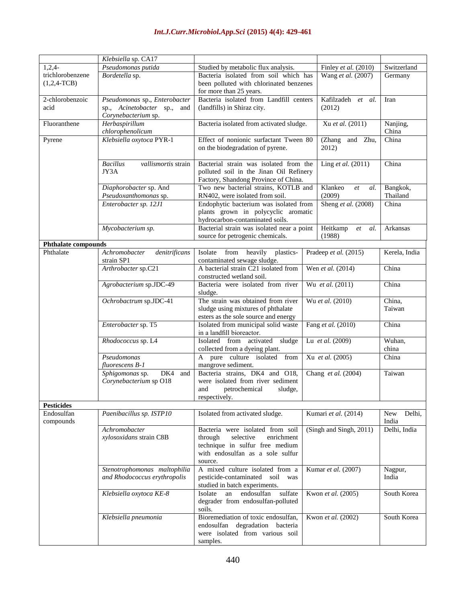|                                 | Klebsiella sp. CA17                    |                                                                                        |                         |                       |               |
|---------------------------------|----------------------------------------|----------------------------------------------------------------------------------------|-------------------------|-----------------------|---------------|
| $1,2,4-$                        | Pseudomonas putida                     | Studied by metabolic flux analysis.                                                    |                         | Finley et al. (2010)  | Switzerland   |
| trichlorobenzene                | Bordetella sp.                         | Bacteria isolated from soil which has                                                  | Wang et al. (2007)      | Germany               |               |
| $(1,2,4-TCB)$                   |                                        | been polluted with chlorinated benzenes                                                |                         |                       |               |
|                                 |                                        | for more than 25 years.                                                                |                         |                       |               |
| 2-chlorobenzoic                 | Pseudomonas sp., Enterobacter          | Bacteria isolated from Landfill centers                                                |                         | Kafilzadeh et al.     | Iran          |
| acid                            | sp., Acinetobacter sp.,<br>and         | (landfills) in Shiraz city.                                                            |                         | (2012)                |               |
|                                 | Corynebacterium sp.                    |                                                                                        |                         |                       |               |
| Fluoranthene                    | Herbaspirillum                         | Bacteria isolated from activated sludge.                                               |                         | Xu et al. (2011)      | Nanjing,      |
|                                 | chlorophenolicum                       |                                                                                        |                         |                       | China         |
| Pyrene                          | Klebsiella oxytoca PYR-1               | Effect of nonionic surfactant Tween 80                                                 |                         | and<br>(Zhang<br>Zhu, | China         |
|                                 |                                        | on the biodegradation of pyrene.                                                       |                         | 2012)                 |               |
|                                 |                                        |                                                                                        |                         |                       |               |
|                                 | <b>Bacillus</b><br>vallismortis strain | Bacterial strain was isolated from the                                                 |                         | Ling et al. (2011)    | China         |
|                                 | JY3A                                   | polluted soil in the Jinan Oil Refinery                                                |                         |                       |               |
|                                 |                                        | Factory, Shandong Province of China.                                                   |                         |                       |               |
|                                 | Diaphorobacter sp. And                 | Two new bacterial strains, KOTLB and                                                   |                         | Klankeo<br>et<br>al.  | Bangkok,      |
|                                 | Pseudoxanthomonas sp.                  | RN402, were isolated from soil.                                                        |                         | (2009)                | Thailand      |
|                                 | Enterobacter sp. 12J1                  | Endophytic bacterium was isolated from                                                 |                         | Sheng et al. (2008)   | China         |
|                                 |                                        | plants grown in polycyclic aromatic                                                    |                         |                       |               |
|                                 |                                        | hydrocarbon-contaminated soils.                                                        |                         |                       |               |
|                                 | Mycobacterium sp.                      | Bacterial strain was isolated near a point                                             |                         | Heitkamp<br>al.<br>et | Arkansas      |
|                                 |                                        | source for petrogenic chemicals.                                                       |                         | (1988)                |               |
| <b>Phthalate compounds</b>      |                                        |                                                                                        |                         |                       |               |
| Phthalate                       | Achromobacter<br>denitrificans         | Isolate from heavily<br>plastics-                                                      |                         | Pradeep et al. (2015) | Kerela, India |
|                                 | strain SP1                             | contaminated sewage sludge.                                                            |                         |                       |               |
|                                 | Arthrobacter sp.C21                    | A bacterial strain C21 isolated from<br>Wen et al. (2014)<br>constructed wetland soil. |                         |                       | China         |
|                                 |                                        |                                                                                        |                         |                       |               |
|                                 | Agrobacterium sp.JDC-49                | Bacteria were isolated from river<br>sludge.                                           | Wu et al. (2011)        |                       | China         |
|                                 | Ochrobactrum sp.JDC-41                 | The strain was obtained from river                                                     |                         | Wu et al. (2010)      | China,        |
|                                 |                                        | sludge using mixtures of phthalate                                                     |                         |                       | Taiwan        |
|                                 |                                        | esters as the sole source and energy                                                   |                         |                       |               |
|                                 | Enterobacter sp. T5                    | Isolated from municipal solid waste                                                    |                         | Fang et al. (2010)    | China         |
|                                 |                                        | in a landfill bioreactor.                                                              |                         |                       |               |
|                                 | Rhodococcus sp. L4                     | sludge<br>Isolated from activated                                                      |                         | Lu et al. (2009)      | Wuhan,        |
|                                 |                                        | collected from a dyeing plant.                                                         |                         |                       | china         |
|                                 | Pseudomonas                            | pure culture isolated from<br>A                                                        |                         | Xu et al. (2005)      | China         |
|                                 | fluorescens B-1                        | mangrove sediment.                                                                     |                         |                       |               |
|                                 | DK4 and<br>Sphigomonas sp.             | Bacteria strains, DK4 and O18,                                                         | Chang et al. (2004)     |                       | Taiwan        |
|                                 | Corynebacterium sp O18                 | were isolated from river sediment                                                      |                         |                       |               |
|                                 |                                        | petrochemical<br>sludge,<br>and                                                        |                         |                       |               |
|                                 |                                        | respectively.                                                                          |                         |                       |               |
| <b>Pesticides</b><br>Endosulfan | Paenibacillus sp. ISTP10               |                                                                                        |                         | Kumari et al. (2014)  | Delhi,<br>New |
| compounds                       |                                        | Isolated from activated sludge.                                                        |                         |                       | India         |
|                                 | Achromobacter                          | Bacteria were isolated from soil                                                       | (Singh and Singh, 2011) |                       | Delhi, India  |
|                                 | xylosoxidans strain C8B                | selective<br>enrichment<br>through                                                     |                         |                       |               |
|                                 |                                        | technique in sulfur free medium                                                        |                         |                       |               |
|                                 |                                        | with endosulfan as a sole sulfur                                                       |                         |                       |               |
|                                 |                                        | source.                                                                                |                         |                       |               |
|                                 | Stenotrophomonas maltophilia           | A mixed culture isolated from a                                                        |                         | Kumar et al. (2007)   | Nagpur,       |
|                                 | and Rhodococcus erythropolis           | pesticide-contaminated soil<br>was                                                     |                         |                       | India         |
|                                 |                                        | studied in batch experiments.                                                          |                         |                       |               |
|                                 | Klebsiella oxytoca KE-8                | endosulfan<br>sulfate<br>Isolate<br>an                                                 |                         | Kwon et al. (2005)    | South Korea   |
|                                 |                                        | degrader from endosulfan-polluted                                                      |                         |                       |               |
|                                 |                                        | soils.                                                                                 |                         |                       |               |
|                                 | Klebsiella pneumonia                   | Bioremediation of toxic endosulfan,                                                    |                         | Kwon et al. (2002)    | South Korea   |
|                                 |                                        | endosulfan degradation<br>bacteria<br>were isolated from various soil                  |                         |                       |               |
|                                 |                                        | samples.                                                                               |                         |                       |               |
|                                 |                                        |                                                                                        |                         |                       |               |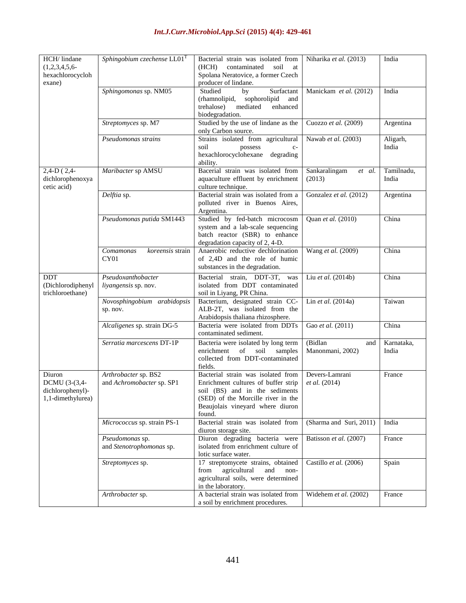| HCH/ lindane<br>$(1,2,3,4,5,6-$<br>hexachlorocycloh<br>exane)    | Sphingobium czechense $LL01T$                     | Bacterial strain was isolated from<br>(HCH)<br>contaminated<br>soil<br>at<br>Spolana Neratovice, a former Czech<br>producer of lindane.                                                         | Niharika et al. (2013)             | India               |
|------------------------------------------------------------------|---------------------------------------------------|-------------------------------------------------------------------------------------------------------------------------------------------------------------------------------------------------|------------------------------------|---------------------|
|                                                                  | Sphingomonas sp. NM05                             | Studied<br>Surfactant<br>by<br>(rhamnolipid,<br>sophorolipid<br>and<br>enhanced<br>trehalose)<br>mediated<br>biodegradation.                                                                    | Manickam et al. (2012)             | India               |
|                                                                  | Streptomyces sp. M7                               | Studied by the use of lindane as the<br>only Carbon source.                                                                                                                                     | Cuozzo et al. (2009)               | Argentina           |
|                                                                  | Pseudomonas strains                               | Strains isolated from agricultural<br>soil<br>possess<br>$C-$<br>hexachlorocyclohexane<br>degrading<br>ability.                                                                                 | Nawab et al. (2003)                | Aligarh,<br>India   |
| $2,4-D$ (2,4-<br>dichlorophenoxya<br>cetic acid)                 | Maribacter sp AMSU                                | Bacerial strain was isolated from<br>aquaculture effluent by enrichment<br>culture technique.                                                                                                   | Sankaralingam<br>et al.<br>(2013)  | Tamilnadu,<br>India |
|                                                                  | Delftia sp.                                       | Bacterial strain was isolated from a<br>polluted river in Buenos Aires,<br>Argentina.                                                                                                           | Gonzalez et al. (2012)             | Argentina           |
|                                                                  | Pseudomonas putida SM1443                         | Studied by fed-batch microcosm<br>system and a lab-scale sequencing<br>batch reactor (SBR) to enhance<br>degradation capacity of 2, 4-D.                                                        | Quan et al. (2010)                 | China               |
|                                                                  | koreensis strain<br>Comamonas<br>CY01             | Anaerobic reductive dechlorination<br>of 2,4D and the role of humic<br>substances in the degradation.                                                                                           | Wang et al. (2009)                 | China               |
| DDT<br>(Dichlorodiphenyl<br>trichloroethane)                     | Pseudoxanthobacter<br>liyangensis sp. nov.        | Bacterial strain, DDT-3T,<br>was<br>isolated from DDT contaminated<br>soil in Liyang, PR China.                                                                                                 | Liu et al. (2014b)                 | China               |
|                                                                  | Novosphingobium arabidopsis<br>sp. nov.           | Bacterium, designated strain CC-<br>ALB-2T, was isolated from the<br>Arabidopsis thaliana rhizosphere.                                                                                          | Lin et al. (2014a)                 | Taiwan              |
|                                                                  | Alcaligenes sp. strain DG-5                       | Bacteria were isolated from DDTs<br>contaminated sediment.                                                                                                                                      | Gao et al. (2011)                  | China               |
|                                                                  | Serratia marcescens DT-1P                         | Bacteria were isolated by long term<br>enrichment<br>of<br>soil<br>samples<br>collected from DDT-contaminated<br>fields.                                                                        | (Bidlan<br>and<br>Manonmani, 2002) | Karnataka,<br>India |
| Diuron<br>DCMU (3-(3,4-<br>dichlorophenyl)-<br>1,1-dimethylurea) | Arthrobacter sp. BS2<br>and Achromobacter sp. SP1 | Bacterial strain was isolated from<br>Enrichment cultures of buffer strip<br>soil (BS) and in the sediments<br>(SED) of the Morcille river in the<br>Beaujolais vineyard where diuron<br>found. | Devers-Lamrani<br>et al. (2014)    | France              |
|                                                                  | Micrococcus sp. strain PS-1                       | Bacterial strain was isolated from<br>diuron storage site.                                                                                                                                      | (Sharma and Suri, 2011)            | India               |
|                                                                  | Pseudomonas sp.<br>and Stenotrophomonas sp.       | Diuron degrading bacteria were<br>isolated from enrichment culture of<br>lotic surface water.                                                                                                   | Batisson et al. (2007)             | France              |
|                                                                  | Streptomyces sp.                                  | 17 streptomycete strains, obtained<br>agricultural<br>and<br>from<br>non-<br>agricultural soils, were determined<br>in the laboratory.                                                          | Castillo et al. (2006)             | Spain               |
|                                                                  | Arthrobacter sp.                                  | A bacterial strain was isolated from<br>a soil by enrichment procedures.                                                                                                                        | Widehem et al. (2002)              | France              |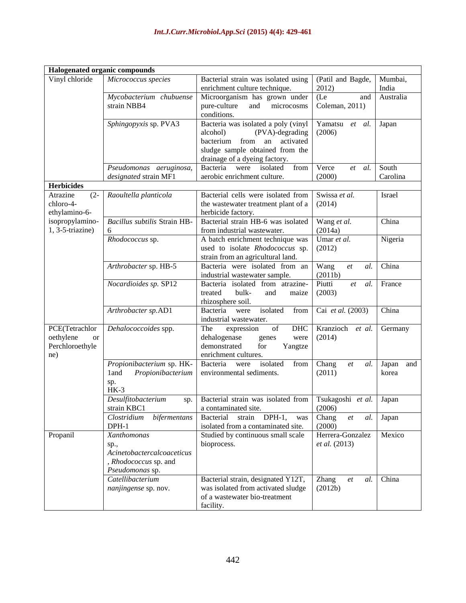| Halogenated organic compounds    |                                    |                                                                                                                                |                     |              |  |
|----------------------------------|------------------------------------|--------------------------------------------------------------------------------------------------------------------------------|---------------------|--------------|--|
| Vinyl chloride                   | Micrococcus species                | Bacterial strain was isolated using                                                                                            | (Patil and Bagde,   | Mumbai,      |  |
|                                  |                                    | enrichment culture technique.                                                                                                  | 2012)               | India        |  |
|                                  | Mycobacterium chubuense            | Microorganism has grown under                                                                                                  | (Le)<br>and         | Australia    |  |
|                                  | strain NBB4                        | pure-culture<br>and<br>microcosms                                                                                              | Coleman, 2011)      |              |  |
|                                  |                                    | conditions.                                                                                                                    |                     |              |  |
|                                  | Sphingopyxis sp. PVA3              | Bacteria was isolated a poly (vinyl                                                                                            | Yamatsu et al.      | Japan        |  |
|                                  |                                    | (PVA)-degrading<br>alcohol)                                                                                                    | (2006)              |              |  |
|                                  |                                    | from<br>bacterium<br>activated<br>an                                                                                           |                     |              |  |
|                                  |                                    | sludge sample obtained from the                                                                                                |                     |              |  |
|                                  |                                    | drainage of a dyeing factory.                                                                                                  |                     |              |  |
|                                  | Pseudomonas aeruginosa,            | isolated<br>Bacteria<br>from<br>were                                                                                           | Verce<br>al.<br>et  | South        |  |
|                                  | designated strain MF1              | aerobic enrichment culture.                                                                                                    | (2000)              | Carolina     |  |
| <b>Herbicides</b>                |                                    |                                                                                                                                |                     |              |  |
| $(2 -$<br>Atrazine               | Raoultella planticola              | Bacterial cells were isolated from                                                                                             | Swissa et al.       | Israel       |  |
| chloro-4-                        |                                    | the wastewater treatment plant of a                                                                                            | (2014)              |              |  |
| ethylamino-6-<br>isopropylamino- | Bacillus subtilis Strain HB-       | herbicide factory.<br>Bacterial strain HB-6 was isolated                                                                       | Wang et al.         | China        |  |
| $1, 3-5$ -triazine)              | 6                                  | from industrial wastewater.                                                                                                    | (2014a)             |              |  |
|                                  | Rhodococcus sp.                    | A batch enrichment technique was                                                                                               | Umar et al.         | Nigeria      |  |
|                                  |                                    | used to isolate Rhodococcus sp.                                                                                                | (2012)              |              |  |
|                                  |                                    | strain from an agricultural land.                                                                                              |                     |              |  |
|                                  | Arthrobacter sp. HB-5              | Bacteria were isolated from an                                                                                                 | Wang<br>al.<br>et   | China        |  |
|                                  |                                    | industrial wastewater sample.                                                                                                  | (2011b)             |              |  |
|                                  | Nocardioides sp. SP12              | Bacteria isolated from atrazine-                                                                                               | Piutti<br>et<br>al. | France       |  |
|                                  |                                    | treated<br>bulk-<br>and<br>maize                                                                                               | (2003)              |              |  |
|                                  |                                    | rhizosphere soil.                                                                                                              |                     |              |  |
|                                  | Arthrobacter sp.AD1                | isolated<br>from<br>Bacteria<br>were                                                                                           | Cai et al. (2003)   | China        |  |
|                                  |                                    | industrial wastewater.                                                                                                         |                     |              |  |
| PCE(Tetrachlor                   | Dehalococcoides spp.               | $% \left( \left( \mathcal{A},\mathcal{A}\right) \right) =\left( \mathcal{A},\mathcal{A}\right)$ of<br>The<br>DHC<br>expression | Kranzioch<br>et al. | Germany      |  |
| oethylene<br><b>or</b>           |                                    | dehalogenase<br>genes<br>were                                                                                                  | (2014)              |              |  |
| Perchloroethyle                  |                                    | demonstrated<br>for<br>Yangtze                                                                                                 |                     |              |  |
| ne)                              |                                    | enrichment cultures.                                                                                                           |                     |              |  |
|                                  | Propionibacterium sp. HK-          | isolated<br>Bacteria<br>from<br>were                                                                                           | Chang<br>et<br>al.  | Japan<br>and |  |
|                                  | Propionibacterium<br>1 and         | environmental sediments.                                                                                                       | (2011)              | korea        |  |
|                                  | sp.<br>$HK-3$                      |                                                                                                                                |                     |              |  |
|                                  | Desulfitobacterium                 | Bacterial strain was isolated from                                                                                             | Tsukagoshi et al.   | Japan        |  |
|                                  | sp.<br>strain KBC1                 | a contaminated site.                                                                                                           | (2006)              |              |  |
|                                  | Clostridium<br><i>bifermentans</i> | <b>Bacterial</b><br>strain<br>$DPH-1$ ,<br>was                                                                                 | Chang<br>al.<br>et  | Japan        |  |
|                                  | $DPH-1$                            | isolated from a contaminated site.                                                                                             | (2000)              |              |  |
| Propanil                         | Xanthomonas                        | Studied by continuous small scale                                                                                              | Herrera-Gonzalez    | Mexico       |  |
|                                  | sp.,                               | bioprocess.                                                                                                                    | et al. (2013)       |              |  |
|                                  | Acinetobactercalcoaceticus         |                                                                                                                                |                     |              |  |
|                                  | , Rhodococcus sp. and              |                                                                                                                                |                     |              |  |
|                                  | Pseudomonas sp.                    |                                                                                                                                |                     |              |  |
|                                  | Catellibacterium                   | Bacterial strain, designated Y12T,                                                                                             | Zhang<br>al.<br>et  | China        |  |
|                                  | nanjingense sp. nov.               | was isolated from activated sludge                                                                                             | (2012b)             |              |  |
|                                  |                                    | of a wastewater bio-treatment                                                                                                  |                     |              |  |
|                                  |                                    | facility.                                                                                                                      |                     |              |  |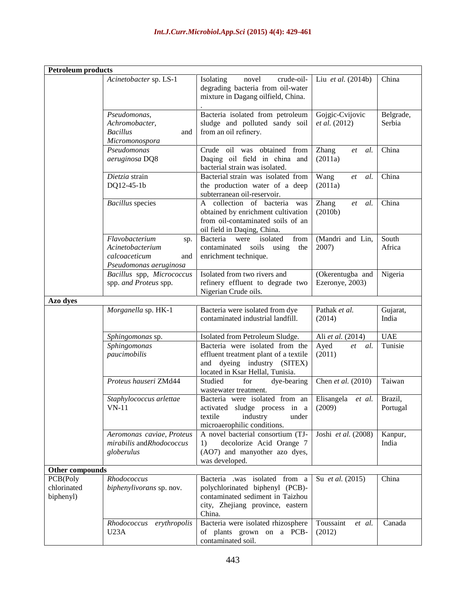| <b>Petroleum</b> products            |                                                                                             |                                                                                                                                                       |                                         |                     |
|--------------------------------------|---------------------------------------------------------------------------------------------|-------------------------------------------------------------------------------------------------------------------------------------------------------|-----------------------------------------|---------------------|
|                                      | Acinetobacter sp. LS-1                                                                      | crude-oil-<br><b>Isolating</b><br>novel<br>degrading bacteria from oil-water<br>mixture in Dagang oilfield, China.                                    | Liu et al. (2014b)                      | China               |
|                                      | Pseudomonas,<br>Achromobacter,<br><b>Bacillus</b><br>and<br>Micromonospora                  | Bacteria isolated from petroleum<br>sludge and polluted sandy soil<br>from an oil refinery.                                                           | Gojgic-Cvijovic<br><i>et al.</i> (2012) | Belgrade,<br>Serbia |
|                                      | Pseudomonas<br>aeruginosa DQ8                                                               | Crude oil was obtained<br>from<br>Daqing oil field in china and<br>bacterial strain was isolated.                                                     | <b>Zhang</b><br>al.<br>et<br>(2011a)    | China               |
|                                      | $\overline{Dietzia}$ strain<br>DQ12-45-1b                                                   | Bacterial strain was isolated from<br>the production water of a deep<br>subterranean oil-reservoir.                                                   | Wang<br>al.<br>et<br>(2011a)            | China               |
|                                      | <b>Bacillus</b> species                                                                     | A collection of bacteria<br>was<br>obtained by enrichment cultivation<br>from oil-contaminated soils of an<br>oil field in Daqing, China.             | Zhang<br>et<br>al.<br>(2010b)           | China               |
|                                      | Flavobacterium<br>sp.<br>Acinetobacterium<br>calcoaceticum<br>and<br>Pseudomonas aeruginosa | Bacteria<br>isolated<br>from<br>were<br>contaminated soils<br>using<br>the<br>enrichment technique.                                                   | (Mandri and Lin,<br>2007)               | South<br>Africa     |
|                                      | Bacillus spp, Micrococcus<br>spp. and Proteus spp.                                          | Isolated from two rivers and<br>refinery effluent to degrade two<br>Nigerian Crude oils.                                                              | (Okerentugba and<br>Ezeronye, 2003)     | Nigeria             |
| Azo dyes                             |                                                                                             |                                                                                                                                                       |                                         |                     |
|                                      | Morganella sp. HK-1                                                                         | Bacteria were isolated from dye<br>contaminated industrial landfill.                                                                                  | Pathak et al.<br>(2014)                 | Gujarat,<br>India   |
|                                      | Sphingomonas sp.                                                                            | Isolated from Petroleum Sludge.                                                                                                                       | Ali et al. (2014)                       | <b>UAE</b>          |
|                                      | Sphingomonas<br>paucimobilis                                                                | Bacteria were isolated from the<br>effluent treatment plant of a textile<br>dyeing industry (SITEX)<br>and<br>located in Ksar Hellal, Tunisia.        | Ayed<br>et<br>al.<br>(2011)             | Tunisie             |
|                                      | Proteus hauseri ZMd44                                                                       | Studied<br>for<br>dye-bearing<br>wastewater treatment.                                                                                                | Chen et al. (2010)                      | Taiwan              |
|                                      | Staphylococcus arlettae<br>VN-11                                                            | Bacteria were isolated from an<br>activated sludge process in a<br>textile<br>industry<br>under<br>microaerophilic conditions.                        | Elisangela et al.<br>(2009)             | Brazil,<br>Portugal |
|                                      | Aeromonas caviae, Proteus<br>mirabilis andRhodococcus<br>globerulus                         | A novel bacterial consortium (TJ-<br>decolorize Acid Orange 7<br>1)<br>(AO7) and manyother azo dyes,<br>was developed.                                | Joshi et al. (2008)                     | Kanpur,<br>India    |
| Other compounds                      |                                                                                             |                                                                                                                                                       |                                         |                     |
| PCB(Poly<br>chlorinated<br>biphenyl) | Rhodococcus<br>biphenylivorans sp. nov.                                                     | Bacteria .was isolated<br>from a<br>polychlorinated biphenyl (PCB)-<br>contaminated sediment in Taizhou<br>city, Zhejiang province, eastern<br>China. | Su <i>et al.</i> (2015)                 | China               |
|                                      | Rhodococcus<br>erythropolis<br>U23A                                                         | Bacteria were isolated rhizosphere<br>of plants grown on a PCB-<br>contaminated soil.                                                                 | Toussaint<br>et al.<br>(2012)           | Canada              |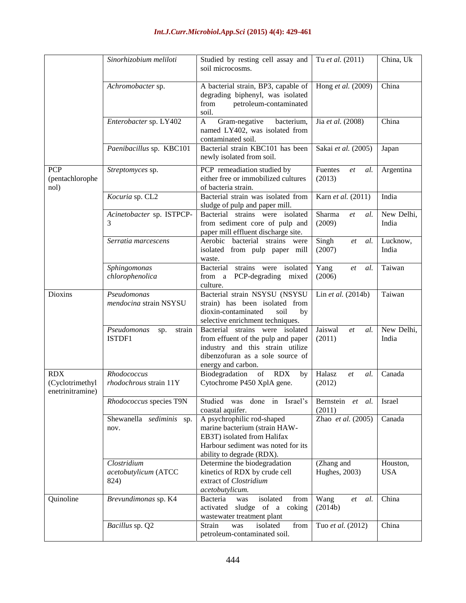|                                                   | Sinorhizobium meliloti                      | Studied by resting cell assay and<br>soil microcosms.                                                                                                               | Tu et al. (2011)               |                        |
|---------------------------------------------------|---------------------------------------------|---------------------------------------------------------------------------------------------------------------------------------------------------------------------|--------------------------------|------------------------|
|                                                   | Achromobacter sp.                           | A bacterial strain, BP3, capable of<br>degrading biphenyl, was isolated<br>from<br>petroleum-contaminated<br>soil.                                                  | Hong et al. (2009)             | China                  |
|                                                   | Enterobacter sp. LY402                      | bacterium,<br>$\mathbf{A}$<br>Gram-negative<br>named LY402, was isolated from<br>contaminated soil.                                                                 | Jia et al. (2008)              | China                  |
|                                                   | Paenibacillus sp. KBC101                    | Bacterial strain KBC101 has been<br>newly isolated from soil.                                                                                                       | Sakai et al. (2005)            | Japan                  |
| <b>PCP</b><br>(pentachlorophe<br>nol)             | Streptomyces sp.                            | PCP remeadiation studied by<br>either free or immobilized cultures<br>of bacteria strain.                                                                           | Fuentes<br>al.<br>et<br>(2013) | Argentina              |
|                                                   | Kocuria sp. CL2                             | Bacterial strain was isolated from<br>sludge of pulp and paper mill.                                                                                                | Karn et al. (2011)             | India                  |
|                                                   | Acinetobacter sp. ISTPCP-<br>3              | Bacterial strains were isolated<br>from sediment core of pulp and<br>paper mill effluent discharge site.                                                            | Sharma<br>et<br>al.<br>(2009)  | New Delhi,<br>India    |
|                                                   | Serratia marcescens                         | Aerobic bacterial strains<br>were<br>isolated from pulp paper mill<br>waste.                                                                                        | Singh<br>al.<br>et<br>(2007)   | Lucknow,<br>India      |
|                                                   | Sphingomonas<br>chlorophenolica             | strains were isolated<br>Yang<br>Bacterial<br>al.<br>et<br>(2006)<br>from a PCP-degrading<br>mixed<br>culture.                                                      |                                | Taiwan                 |
| Dioxins                                           | Pseudomonas<br>mendocina strain NSYSU       | Bacterial strain NSYSU (NSYSU<br>strain) has been isolated from<br>dioxin-contaminated<br>soil<br>by<br>selective enrichment techniques.                            | Lin et al. (2014b)             | Taiwan                 |
|                                                   | Pseudomonas<br>strain<br>sp.<br>ISTDF1      | Bacterial strains were isolated<br>from effuent of the pulp and paper<br>industry and this strain utilize<br>dibenzofuran as a sole source of<br>energy and carbon. | Jaiswal<br>al.<br>et<br>(2011) | New Delhi,<br>India    |
| <b>RDX</b><br>(Cyclotrimethyl<br>enetrinitramine) | Rhodococcus<br>rhodochrous strain 11Y       | Biodegradation<br><b>RDX</b><br>of<br>by<br>Cytochrome P450 XplA gene.                                                                                              | Halasz<br>al.<br>et<br>(2012)  | Canada                 |
|                                                   | Rhodococcus species T9N                     | done<br>in<br>Israel's<br>Studied was<br>coastal aquifer.                                                                                                           | Bernstein<br>et al.<br>(2011)  | Israel                 |
|                                                   | Shewanella sediminis sp.<br>nov.            | A psychrophilic rod-shaped<br>marine bacterium (strain HAW-<br>EB3T) isolated from Halifax<br>Harbour sediment was noted for its<br>ability to degrade (RDX).       | Zhao et al. (2005)             | Canada                 |
|                                                   | Clostridium<br>acetobutylicum (ATCC<br>824) | Determine the biodegradation<br>kinetics of RDX by crude cell<br>extract of Clostridium<br>acetobutylicum.                                                          | (Zhang and<br>Hughes, 2003)    | Houston,<br><b>USA</b> |
| Quinoline                                         | Brevundimonas sp. K4                        | isolated<br>from<br>Bacteria<br>was<br>sludge of a<br>activated<br>coking<br>wastewater treatment plant                                                             | Wang<br>al.<br>et<br>(2014b)   | China                  |
|                                                   | Bacillus sp. Q2                             | isolated<br>Strain<br>from<br>Tuo et al. (2012)<br>was<br>petroleum-contaminated soil.                                                                              |                                | China                  |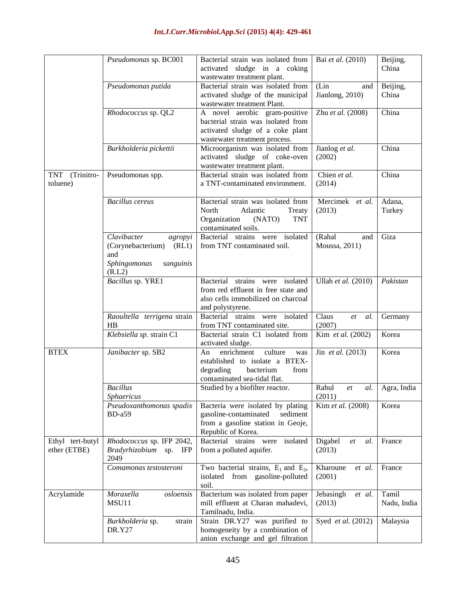|                                      | Pseudomonas sp. BC001                                                                              | Bacterial strain was isolated from<br>sludge in a coking<br>activated<br>wastewater treatment plant.                                     | Bai et al. (2010)                            | Beijing,<br>China    |
|--------------------------------------|----------------------------------------------------------------------------------------------------|------------------------------------------------------------------------------------------------------------------------------------------|----------------------------------------------|----------------------|
|                                      | Pseudomonas putida                                                                                 | Bacterial strain was isolated from<br>activated sludge of the municipal<br>wastewater treatment Plant.                                   | (Lin<br>and<br>Jianlong, 2010)               | Beijing,<br>China    |
|                                      | Rhodococcus sp. QL2                                                                                | A novel aerobic gram-positive<br>bacterial strain was isolated from<br>activated sludge of a coke plant<br>wastewater treatment process. | Zhu et al. (2008)                            | China                |
|                                      | Burkholderia pickettii                                                                             | Microorganism was isolated from<br>activated sludge of coke-oven<br>wastewater treatment plant.                                          | Jianlog et al.<br>(2002)                     | China                |
| <b>TNT</b><br>(Trinitro-<br>toluene) | Pseudomonas spp.                                                                                   | Bacterial strain was isolated from<br>a TNT-contaminated environment.                                                                    | Chien et al.<br>(2014)                       | China                |
|                                      | <b>Bacillus</b> cereus                                                                             | Bacterial strain was isolated from<br>North<br>Atlantic<br>Treaty<br>Organization<br>(NATO)<br><b>TNT</b><br>contaminated soils.         | Mercimek et al.<br>(2013)                    | Adana,<br>Turkey     |
|                                      | Clavibacter<br>agropyi<br>(Corynebacterium)<br>(RL1)<br>and<br>Sphingomonas<br>sanguinis<br>(R.L2) | Bacterial strains were isolated<br>from TNT contaminated soil.                                                                           | (Rahal<br>and<br>Moussa, 2011)               | Giza                 |
|                                      | Bacillus sp. YRE1                                                                                  | Bacterial<br>strains were isolated<br>from red effluent in free state and<br>also cells immobilized on charcoal<br>and polystyrene.      | Ullah et al. (2010)                          | Pakistan             |
|                                      | Raoultella terrigena strain<br>HB                                                                  | Bacterial strains were isolated<br>from TNT contaminated site.                                                                           | Claus<br>al.<br>et<br>(2007)                 | Germany              |
|                                      | Klebsiella sp. strain C1                                                                           | Bacterial strain C1 isolated from<br>activated sludge.                                                                                   | Kim et al. (2002)                            | Korea                |
| <b>BTEX</b>                          | Janibacter sp. SB2                                                                                 | enrichment<br>culture<br>An<br>was<br>established to isolate a BTEX-<br>degrading<br>bacterium<br>from<br>contaminated sea-tidal flat.   | Jin et al. (2013)                            | Korea                |
|                                      | <b>Bacillus</b><br>Sphaericus                                                                      | Studied by a biofilter reactor.                                                                                                          | Rahul<br>al.<br>et<br>(2011)                 | Agra, India          |
|                                      | Pseudoxanthomonas spadix<br>$BD-a59$                                                               | Bacteria were isolated by plating<br>gasoline-contaminated<br>sediment<br>from a gasoline station in Geoje,<br>Republic of Korea.        | Kim et al. (2008)                            | Korea                |
| Ethyl tert-butyl<br>ether (ETBE)     | Rhodococcus sp. IFP 2042,<br>Bradyrhizobium sp. IFP<br>2049                                        | Bacterial strains were<br>isolated<br>from a polluted aquifer.                                                                           | Digabel<br>$et\hskip-6.5cm$<br>al.<br>(2013) | France               |
|                                      | Comamonas testosteroni                                                                             | Two bacterial strains, $E_1$ and $E_2$ ,<br>isolated from gasoline-polluted<br>soil.                                                     | Kharoune<br>et al.<br>(2001)                 | France               |
| Acrylamide                           | Moraxella<br>osloensis<br>MSU11                                                                    | Bacterium was isolated from paper<br>mill effluent at Charan mahadevi,<br>Tamilnadu, India.                                              | Jebasingh<br>et al.<br>(2013)                | Tamil<br>Nadu, India |
|                                      | Burkholderia sp.<br>strain<br><b>DR.Y27</b>                                                        | Strain DR.Y27 was purified to<br>homogeneity by a combination of<br>anion exchange and gel filtration                                    | Syed et al. (2012)                           | Malaysia             |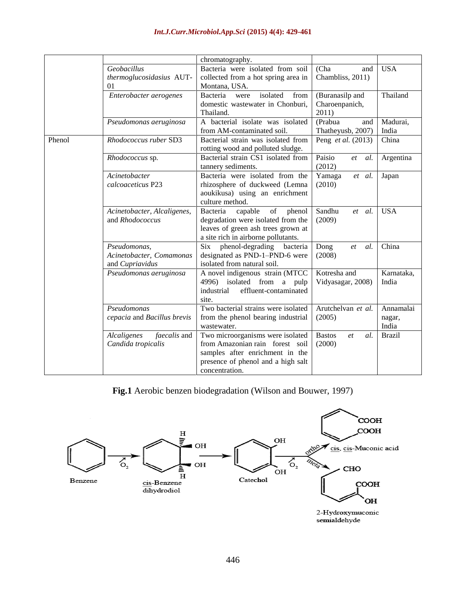| (Cha)<br><b>USA</b><br>Geobacillus<br>Bacteria were isolated from soil<br>and<br>collected from a hot spring area in<br>Chambliss, 2011)<br>thermoglucosidasius AUT-<br>01<br>Montana, USA.<br>Thailand<br>Bacteria<br>isolated<br>from<br>Enterobacter aerogenes<br>(Buranasilp and<br>were<br>domestic wastewater in Chonburi,<br>Charoenpanich,<br>Thailand.<br>2011)<br>(Prabua<br>A bacterial isolate was isolated<br>Madurai,<br>Pseudomonas aeruginosa<br>and<br>from AM-contaminated soil.<br>Thatheyusb, 2007)<br>India<br>Bacterial strain was isolated from<br>China<br>Rhodococcus ruber SD3<br>Peng et al. (2013)<br>Phenol<br>rotting wood and polluted sludge.<br>Bacterial strain CS1 isolated from<br>Paisio<br>Argentina<br>Rhodococcus sp.<br>al.<br>et<br>(2012)<br>tannery sediments.<br>Acinetobacter<br>Bacteria were isolated from the<br>Yamaga<br>Japan<br>et al.<br>rhizosphere of duckweed (Lemna<br>calcoaceticus P23<br>(2010)<br>aoukikusa) using an enrichment<br>culture method.<br>Sandhu<br><b>USA</b><br>Bacteria<br>Acinetobacter, Alcaligenes,<br>capable<br>of<br>phenol<br>al.<br>et<br>degradation were isolated from the<br>and Rhodococcus<br>(2009)<br>leaves of green ash trees grown at<br>a site rich in airborne pollutants.<br>China<br>Pseudomonas,<br>Six phenol-degrading<br>bacteria<br>Dong<br>al.<br>et<br>designated as PND-1-PND-6 were<br>Acinetobacter, Comamonas<br>(2008)<br>isolated from natural soil.<br>and Cupriavidus<br>A novel indigenous strain (MTCC<br>Kotresha and<br>Karnataka,<br>Pseudomonas aeruginosa<br>4996) isolated from a pulp<br>Vidyasagar, 2008)<br>India<br>effluent-contaminated<br>industrial<br>site.<br>Two bacterial strains were isolated<br>Arutchelvan et al.<br>Pseudomonas<br>Annamalai<br>(2005)<br>cepacia and Bacillus brevis<br>from the phenol bearing industrial<br>nagar,<br>India<br>wastewater.<br>faecalis and<br>Two microorganisms were isolated<br>Alcaligenes<br><b>Brazil</b><br><b>Bastos</b><br>al.<br>et<br>from Amazonian rain forest soil<br>(2000)<br>Candida tropicalis<br>samples after enrichment in the<br>presence of phenol and a high salt<br>concentration. |  | chromatography. |  |  |
|-------------------------------------------------------------------------------------------------------------------------------------------------------------------------------------------------------------------------------------------------------------------------------------------------------------------------------------------------------------------------------------------------------------------------------------------------------------------------------------------------------------------------------------------------------------------------------------------------------------------------------------------------------------------------------------------------------------------------------------------------------------------------------------------------------------------------------------------------------------------------------------------------------------------------------------------------------------------------------------------------------------------------------------------------------------------------------------------------------------------------------------------------------------------------------------------------------------------------------------------------------------------------------------------------------------------------------------------------------------------------------------------------------------------------------------------------------------------------------------------------------------------------------------------------------------------------------------------------------------------------------------------------------------------------------------------------------------------------------------------------------------------------------------------------------------------------------------------------------------------------------------------------------------------------------------------------------------------------------------------------------------------------------------------------------------------------------------------------------------------------------------------------------------------------------------------|--|-----------------|--|--|
|                                                                                                                                                                                                                                                                                                                                                                                                                                                                                                                                                                                                                                                                                                                                                                                                                                                                                                                                                                                                                                                                                                                                                                                                                                                                                                                                                                                                                                                                                                                                                                                                                                                                                                                                                                                                                                                                                                                                                                                                                                                                                                                                                                                           |  |                 |  |  |
|                                                                                                                                                                                                                                                                                                                                                                                                                                                                                                                                                                                                                                                                                                                                                                                                                                                                                                                                                                                                                                                                                                                                                                                                                                                                                                                                                                                                                                                                                                                                                                                                                                                                                                                                                                                                                                                                                                                                                                                                                                                                                                                                                                                           |  |                 |  |  |
|                                                                                                                                                                                                                                                                                                                                                                                                                                                                                                                                                                                                                                                                                                                                                                                                                                                                                                                                                                                                                                                                                                                                                                                                                                                                                                                                                                                                                                                                                                                                                                                                                                                                                                                                                                                                                                                                                                                                                                                                                                                                                                                                                                                           |  |                 |  |  |
|                                                                                                                                                                                                                                                                                                                                                                                                                                                                                                                                                                                                                                                                                                                                                                                                                                                                                                                                                                                                                                                                                                                                                                                                                                                                                                                                                                                                                                                                                                                                                                                                                                                                                                                                                                                                                                                                                                                                                                                                                                                                                                                                                                                           |  |                 |  |  |
|                                                                                                                                                                                                                                                                                                                                                                                                                                                                                                                                                                                                                                                                                                                                                                                                                                                                                                                                                                                                                                                                                                                                                                                                                                                                                                                                                                                                                                                                                                                                                                                                                                                                                                                                                                                                                                                                                                                                                                                                                                                                                                                                                                                           |  |                 |  |  |
|                                                                                                                                                                                                                                                                                                                                                                                                                                                                                                                                                                                                                                                                                                                                                                                                                                                                                                                                                                                                                                                                                                                                                                                                                                                                                                                                                                                                                                                                                                                                                                                                                                                                                                                                                                                                                                                                                                                                                                                                                                                                                                                                                                                           |  |                 |  |  |
|                                                                                                                                                                                                                                                                                                                                                                                                                                                                                                                                                                                                                                                                                                                                                                                                                                                                                                                                                                                                                                                                                                                                                                                                                                                                                                                                                                                                                                                                                                                                                                                                                                                                                                                                                                                                                                                                                                                                                                                                                                                                                                                                                                                           |  |                 |  |  |
|                                                                                                                                                                                                                                                                                                                                                                                                                                                                                                                                                                                                                                                                                                                                                                                                                                                                                                                                                                                                                                                                                                                                                                                                                                                                                                                                                                                                                                                                                                                                                                                                                                                                                                                                                                                                                                                                                                                                                                                                                                                                                                                                                                                           |  |                 |  |  |
|                                                                                                                                                                                                                                                                                                                                                                                                                                                                                                                                                                                                                                                                                                                                                                                                                                                                                                                                                                                                                                                                                                                                                                                                                                                                                                                                                                                                                                                                                                                                                                                                                                                                                                                                                                                                                                                                                                                                                                                                                                                                                                                                                                                           |  |                 |  |  |
|                                                                                                                                                                                                                                                                                                                                                                                                                                                                                                                                                                                                                                                                                                                                                                                                                                                                                                                                                                                                                                                                                                                                                                                                                                                                                                                                                                                                                                                                                                                                                                                                                                                                                                                                                                                                                                                                                                                                                                                                                                                                                                                                                                                           |  |                 |  |  |
|                                                                                                                                                                                                                                                                                                                                                                                                                                                                                                                                                                                                                                                                                                                                                                                                                                                                                                                                                                                                                                                                                                                                                                                                                                                                                                                                                                                                                                                                                                                                                                                                                                                                                                                                                                                                                                                                                                                                                                                                                                                                                                                                                                                           |  |                 |  |  |
|                                                                                                                                                                                                                                                                                                                                                                                                                                                                                                                                                                                                                                                                                                                                                                                                                                                                                                                                                                                                                                                                                                                                                                                                                                                                                                                                                                                                                                                                                                                                                                                                                                                                                                                                                                                                                                                                                                                                                                                                                                                                                                                                                                                           |  |                 |  |  |
|                                                                                                                                                                                                                                                                                                                                                                                                                                                                                                                                                                                                                                                                                                                                                                                                                                                                                                                                                                                                                                                                                                                                                                                                                                                                                                                                                                                                                                                                                                                                                                                                                                                                                                                                                                                                                                                                                                                                                                                                                                                                                                                                                                                           |  |                 |  |  |
|                                                                                                                                                                                                                                                                                                                                                                                                                                                                                                                                                                                                                                                                                                                                                                                                                                                                                                                                                                                                                                                                                                                                                                                                                                                                                                                                                                                                                                                                                                                                                                                                                                                                                                                                                                                                                                                                                                                                                                                                                                                                                                                                                                                           |  |                 |  |  |
|                                                                                                                                                                                                                                                                                                                                                                                                                                                                                                                                                                                                                                                                                                                                                                                                                                                                                                                                                                                                                                                                                                                                                                                                                                                                                                                                                                                                                                                                                                                                                                                                                                                                                                                                                                                                                                                                                                                                                                                                                                                                                                                                                                                           |  |                 |  |  |
|                                                                                                                                                                                                                                                                                                                                                                                                                                                                                                                                                                                                                                                                                                                                                                                                                                                                                                                                                                                                                                                                                                                                                                                                                                                                                                                                                                                                                                                                                                                                                                                                                                                                                                                                                                                                                                                                                                                                                                                                                                                                                                                                                                                           |  |                 |  |  |
|                                                                                                                                                                                                                                                                                                                                                                                                                                                                                                                                                                                                                                                                                                                                                                                                                                                                                                                                                                                                                                                                                                                                                                                                                                                                                                                                                                                                                                                                                                                                                                                                                                                                                                                                                                                                                                                                                                                                                                                                                                                                                                                                                                                           |  |                 |  |  |
|                                                                                                                                                                                                                                                                                                                                                                                                                                                                                                                                                                                                                                                                                                                                                                                                                                                                                                                                                                                                                                                                                                                                                                                                                                                                                                                                                                                                                                                                                                                                                                                                                                                                                                                                                                                                                                                                                                                                                                                                                                                                                                                                                                                           |  |                 |  |  |
|                                                                                                                                                                                                                                                                                                                                                                                                                                                                                                                                                                                                                                                                                                                                                                                                                                                                                                                                                                                                                                                                                                                                                                                                                                                                                                                                                                                                                                                                                                                                                                                                                                                                                                                                                                                                                                                                                                                                                                                                                                                                                                                                                                                           |  |                 |  |  |
|                                                                                                                                                                                                                                                                                                                                                                                                                                                                                                                                                                                                                                                                                                                                                                                                                                                                                                                                                                                                                                                                                                                                                                                                                                                                                                                                                                                                                                                                                                                                                                                                                                                                                                                                                                                                                                                                                                                                                                                                                                                                                                                                                                                           |  |                 |  |  |
|                                                                                                                                                                                                                                                                                                                                                                                                                                                                                                                                                                                                                                                                                                                                                                                                                                                                                                                                                                                                                                                                                                                                                                                                                                                                                                                                                                                                                                                                                                                                                                                                                                                                                                                                                                                                                                                                                                                                                                                                                                                                                                                                                                                           |  |                 |  |  |
|                                                                                                                                                                                                                                                                                                                                                                                                                                                                                                                                                                                                                                                                                                                                                                                                                                                                                                                                                                                                                                                                                                                                                                                                                                                                                                                                                                                                                                                                                                                                                                                                                                                                                                                                                                                                                                                                                                                                                                                                                                                                                                                                                                                           |  |                 |  |  |
|                                                                                                                                                                                                                                                                                                                                                                                                                                                                                                                                                                                                                                                                                                                                                                                                                                                                                                                                                                                                                                                                                                                                                                                                                                                                                                                                                                                                                                                                                                                                                                                                                                                                                                                                                                                                                                                                                                                                                                                                                                                                                                                                                                                           |  |                 |  |  |
|                                                                                                                                                                                                                                                                                                                                                                                                                                                                                                                                                                                                                                                                                                                                                                                                                                                                                                                                                                                                                                                                                                                                                                                                                                                                                                                                                                                                                                                                                                                                                                                                                                                                                                                                                                                                                                                                                                                                                                                                                                                                                                                                                                                           |  |                 |  |  |
|                                                                                                                                                                                                                                                                                                                                                                                                                                                                                                                                                                                                                                                                                                                                                                                                                                                                                                                                                                                                                                                                                                                                                                                                                                                                                                                                                                                                                                                                                                                                                                                                                                                                                                                                                                                                                                                                                                                                                                                                                                                                                                                                                                                           |  |                 |  |  |
|                                                                                                                                                                                                                                                                                                                                                                                                                                                                                                                                                                                                                                                                                                                                                                                                                                                                                                                                                                                                                                                                                                                                                                                                                                                                                                                                                                                                                                                                                                                                                                                                                                                                                                                                                                                                                                                                                                                                                                                                                                                                                                                                                                                           |  |                 |  |  |
|                                                                                                                                                                                                                                                                                                                                                                                                                                                                                                                                                                                                                                                                                                                                                                                                                                                                                                                                                                                                                                                                                                                                                                                                                                                                                                                                                                                                                                                                                                                                                                                                                                                                                                                                                                                                                                                                                                                                                                                                                                                                                                                                                                                           |  |                 |  |  |
|                                                                                                                                                                                                                                                                                                                                                                                                                                                                                                                                                                                                                                                                                                                                                                                                                                                                                                                                                                                                                                                                                                                                                                                                                                                                                                                                                                                                                                                                                                                                                                                                                                                                                                                                                                                                                                                                                                                                                                                                                                                                                                                                                                                           |  |                 |  |  |
|                                                                                                                                                                                                                                                                                                                                                                                                                                                                                                                                                                                                                                                                                                                                                                                                                                                                                                                                                                                                                                                                                                                                                                                                                                                                                                                                                                                                                                                                                                                                                                                                                                                                                                                                                                                                                                                                                                                                                                                                                                                                                                                                                                                           |  |                 |  |  |
|                                                                                                                                                                                                                                                                                                                                                                                                                                                                                                                                                                                                                                                                                                                                                                                                                                                                                                                                                                                                                                                                                                                                                                                                                                                                                                                                                                                                                                                                                                                                                                                                                                                                                                                                                                                                                                                                                                                                                                                                                                                                                                                                                                                           |  |                 |  |  |
|                                                                                                                                                                                                                                                                                                                                                                                                                                                                                                                                                                                                                                                                                                                                                                                                                                                                                                                                                                                                                                                                                                                                                                                                                                                                                                                                                                                                                                                                                                                                                                                                                                                                                                                                                                                                                                                                                                                                                                                                                                                                                                                                                                                           |  |                 |  |  |
|                                                                                                                                                                                                                                                                                                                                                                                                                                                                                                                                                                                                                                                                                                                                                                                                                                                                                                                                                                                                                                                                                                                                                                                                                                                                                                                                                                                                                                                                                                                                                                                                                                                                                                                                                                                                                                                                                                                                                                                                                                                                                                                                                                                           |  |                 |  |  |
|                                                                                                                                                                                                                                                                                                                                                                                                                                                                                                                                                                                                                                                                                                                                                                                                                                                                                                                                                                                                                                                                                                                                                                                                                                                                                                                                                                                                                                                                                                                                                                                                                                                                                                                                                                                                                                                                                                                                                                                                                                                                                                                                                                                           |  |                 |  |  |
|                                                                                                                                                                                                                                                                                                                                                                                                                                                                                                                                                                                                                                                                                                                                                                                                                                                                                                                                                                                                                                                                                                                                                                                                                                                                                                                                                                                                                                                                                                                                                                                                                                                                                                                                                                                                                                                                                                                                                                                                                                                                                                                                                                                           |  |                 |  |  |
|                                                                                                                                                                                                                                                                                                                                                                                                                                                                                                                                                                                                                                                                                                                                                                                                                                                                                                                                                                                                                                                                                                                                                                                                                                                                                                                                                                                                                                                                                                                                                                                                                                                                                                                                                                                                                                                                                                                                                                                                                                                                                                                                                                                           |  |                 |  |  |

**Fig.1** Aerobic benzen biodegradation (Wilson and Bouwer, 1997)

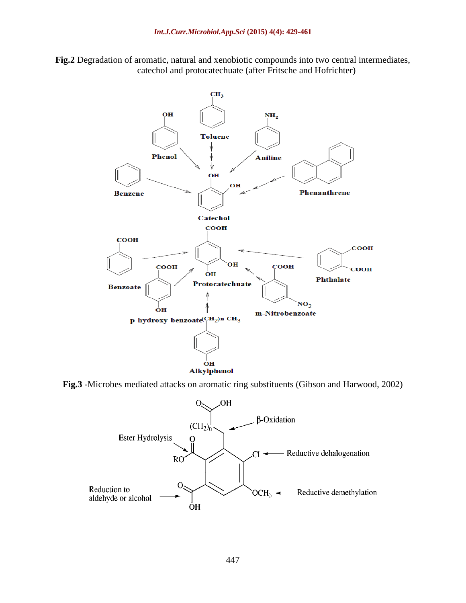**Fig.2** Degradation of aromatic, natural and xenobiotic compounds into two central intermediates, catechol and protocatechuate (after Fritsche and Hofrichter)



**Fig.3** -Microbes mediated attacks on aromatic ring substituents (Gibson and Harwood, 2002)

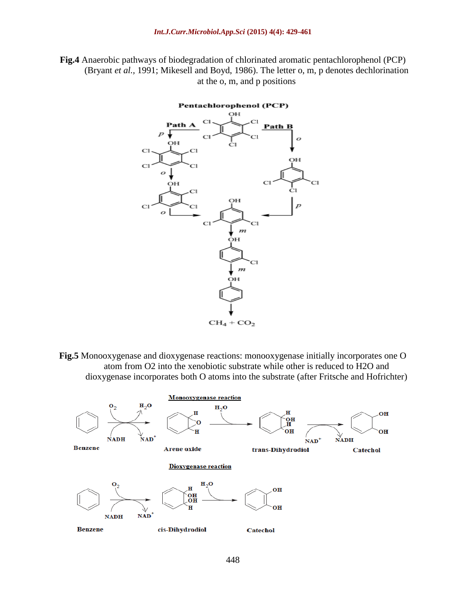**Fig.4** Anaerobic pathways of biodegradation of chlorinated aromatic pentachlorophenol (PCP) (Bryant *et al.,* 1991; Mikesell and Boyd, 1986). The letter o, m, p denotes dechlorination at the o, m, and p positions



**Fig.5** Monooxygenase and dioxygenase reactions: monooxygenase initially incorporates one O atom from O2 into the xenobiotic substrate while other is reduced to H2O and dioxygenase incorporates both O atoms into the substrate (after Fritsche and Hofrichter)

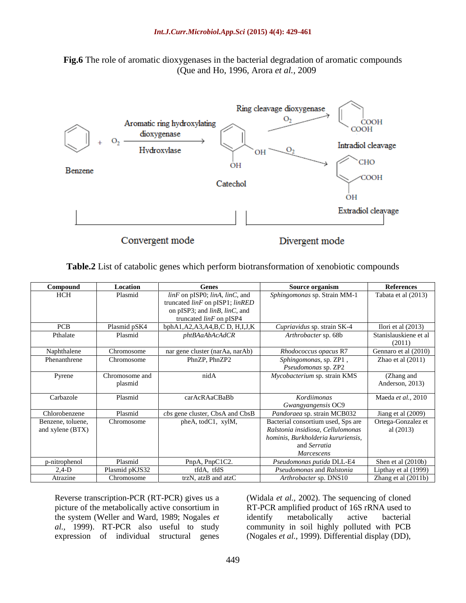



Convergent mode

Divergent mode

**Table.2** List of catabolic genes which perform biotransformation of xenobiotic compounds

| Compound          | Location       | <b>Genes</b>                                 | Source organism                    | <b>References</b>               |
|-------------------|----------------|----------------------------------------------|------------------------------------|---------------------------------|
| <b>HCH</b>        | Plasmid        | $\lim F$ on pISP0; $\lim A$ , $\lim C$ , and | Sphingomonas sp. Strain MM-1       | Tabata et al (2013)             |
|                   |                | truncated $\lim F$ on pISP1; $\lim RED$      |                                    |                                 |
|                   |                | on pISP3; and $\lim B$ , $\lim C$ , and      |                                    |                                 |
|                   |                | truncated $\lim F$ on pISP4                  |                                    |                                 |
| <b>PCB</b>        | Plasmid pSK4   | bphA1,A2,A3,A4,B,C D, H,I,J,K                | Cupriavidus sp. strain SK-4        | Ilori et al $(2013)$            |
| Pthalate          | Plasmid        | phtBAaAbAcAdCR                               | Arthrobacter sp. 68b               | Stanislauskiene et al<br>(2011) |
| Naphthalene       | Chromosome     | nar gene cluster (narAa, narAb)              | Rhodococcus opacus R7              | Gennaro et al (2010)            |
| Phenanthrene      | Chromosome     | PhnZP, PhnZP2                                | Sphingomonas, sp. ZP1,             | Zhao et al $(2011)$             |
|                   |                |                                              | Pseudomonas sp. ZP2                |                                 |
| Pyrene            | Chromosome and | nidA                                         | Mycobacterium sp. strain KMS       | (Zhang and                      |
|                   | plasmid        |                                              |                                    | Anderson, 2013)                 |
| Carbazole         | Plasmid        | carAcRAaCBaBb                                | Kordiimonas                        | Maeda et al., 2010              |
|                   |                |                                              | Gwangyangensis OC9                 |                                 |
| Chlorobenzene     | Plasmid        | cbs gene cluster, CbsA and CbsB              | Pandoraea sp. strain MCB032        | Jiang et al $(2009)$            |
| Benzene, toluene, | Chromosome     | pheA, todC1, xylM,                           | Bacterial consortium used, Sps are | Ortega-Gonzalez et              |
| and xylene (BTX)  |                |                                              | Ralstonia insidiosa, Cellulomonas  | al $(2013)$                     |
|                   |                |                                              | hominis, Burkholderia kururiensis, |                                 |
|                   |                |                                              | and Serratia                       |                                 |
|                   |                |                                              | <b>Marcescens</b>                  |                                 |
| p-nitrophenol     | Plasmid        | PnpA, PnpC1C2.                               | Pseudomonas putida DLL-E4          | Shen et al (2010b)              |
| $2,4-D$           | Plasmid pKJS32 | tfdA, tfdS                                   | Pseudomonas and Ralstonia          | Lipthay et al (1999)            |
| Atrazine          | Chromosome     | trzN, atzB and atzC                          | Arthrobacter sp. DNS10             | Zhang et al $(2011b)$           |

Reverse transcription-PCR (RT-PCR) gives us a picture of the metabolically active consortium in the system (Weller and Ward, 1989; Nogales *et al.,* 1999). RT-PCR also useful to study expression of individual structural genes

(Widala *et al.,* 2002). The sequencing of cloned RT-PCR amplified product of 16S rRNA used to identify metabolically active bacterial community in soil highly polluted with PCB (Nogales *et al.,* 1999). Differential display (DD),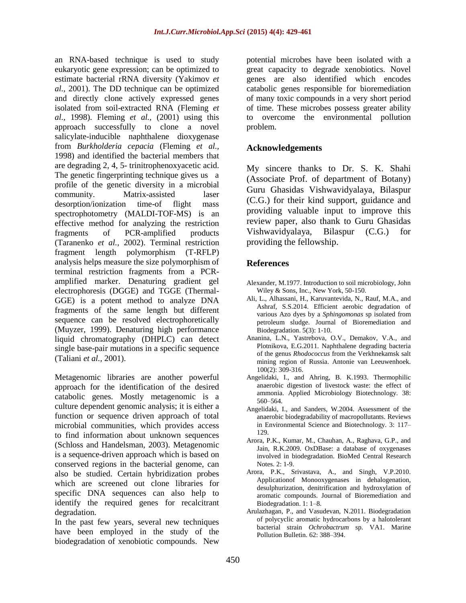an RNA-based technique is used to study eukaryotic gene expression; can be optimized to estimate bacterial rRNA diversity (Yakimov *et al.,* 2001). The DD technique can be optimized and directly clone actively expressed genes isolated from soil-extracted RNA (Fleming *et al.,* 1998). Fleming *et al.,* (2001) using this approach successfully to clone a novel salicylate-inducible naphthalene dioxygenase from *Burkholderia cepacia* (Fleming *et al.,* 1998) and identified the bacterial members that are degrading 2, 4, 5- trinitrophenoxyacetic acid. The genetic fingerprinting technique gives us a profile of the genetic diversity in a microbial community. Matrix-assisted laser desorption/ionization time-of flight mass spectrophotometry (MALDI-TOF-MS) is an effective method for analyzing the restriction fragments of PCR-amplified products (Taranenko *et al.,* 2002). Terminal restriction fragment length polymorphism (T-RFLP) analysis helps measure the size polymorphism of terminal restriction fragments from a PCRamplified marker. Denaturing gradient gel electrophoresis (DGGE) and TGGE (Thermal-GGE) is a potent method to analyze DNA fragments of the same length but different sequence can be resolved electrophoretically (Muyzer, 1999). Denaturing high performance liquid chromatography (DHPLC) can detect single base-pair mutations in a specific sequence (Taliani *et al.,* 2001).

Metagenomic libraries are another powerful approach for the identification of the desired catabolic genes. Mostly metagenomic is a culture dependent genomic analysis; it is either a function or sequence driven approach of total microbial communities, which provides access to find information about unknown sequences (Schloss and Handelsman, 2003). Metagenomic is a sequence-driven approach which is based on conserved regions in the bacterial genome, can also be studied. Certain hybridization probes which are screened out clone libraries for specific DNA sequences can also help to identify the required genes for recalcitrant degradation.

In the past few years, several new techniques have been employed in the study of the biodegradation of xenobiotic compounds. New

potential microbes have been isolated with a great capacity to degrade xenobiotics. Novel genes are also identified which encodes catabolic genes responsible for bioremediation of many toxic compounds in a very short period of time. These microbes possess greater ability to overcome the environmental pollution problem.

#### **Acknowledgements**

My sincere thanks to Dr. S. K. Shahi (Associate Prof. of department of Botany) Guru Ghasidas Vishwavidyalaya, Bilaspur (C.G.) for their kind support, guidance and providing valuable input to improve this review paper, also thank to Guru Ghasidas Vishwavidyalaya, Bilaspur (C.G.) for providing the fellowship.

## **References**

- Alexander, M.1977. Introduction to soil microbiology, John Wiley & Sons, Inc., New York, 50-150.
- Ali, L., Alhassani, H., Karuvantevida, N., Rauf, M.A., and Ashraf, S.S.2014. Efficient aerobic degradation of various Azo dyes by a *Sphingomonas* sp isolated from petroleum sludge. Journal of Bioremediation and Biodegradation. 5(3): 1-10.
- Ananina, L.N., Yastrebova, O.V., Demakov, V.A., and Plotnikova, E.G.2011. Naphthalene degrading bacteria of the genus *Rhodococcus* from the Verkhnekamsk salt mining region of Russia. Antonie van Leeuwenhoek. 100(2): 309-316.
- Angelidaki, I., and Ahring, B. K.1993. Thermophilic anaerobic digestion of livestock waste: the effect of ammonia. Applied Microbiology Biotechnology. 38: 560–564.
- Angelidaki, I., and Sanders, W.2004. Assessment of the anaerobic biodegradability of macropollutants. Reviews in Environmental Science and Biotechnology. 3: 117– 129.
- Arora, P.K., Kumar, M., Chauhan, A., Raghava, G.P., and Jain, R.K.2009. OxDBase: a database of oxygenases involved in biodegradation. BioMed Central Research Notes. 2: 1-9.
- Arora, P.K., Srivastava, A., and Singh, V.P.2010. Applicationof Monooxygenases in dehalogenation, desulphurization, denitrification and hydroxylation of aromatic compounds. Journal of Bioremediation and Biodegradation. 1: 1–8.
- Arulazhagan, P., and Vasudevan, N.2011. Biodegradation of polycyclic aromatic hydrocarbons by a halotolerant bacterial strain *Ochrobactrum* sp. VA1. Marine Pollution Bulletin. 62: 388–394.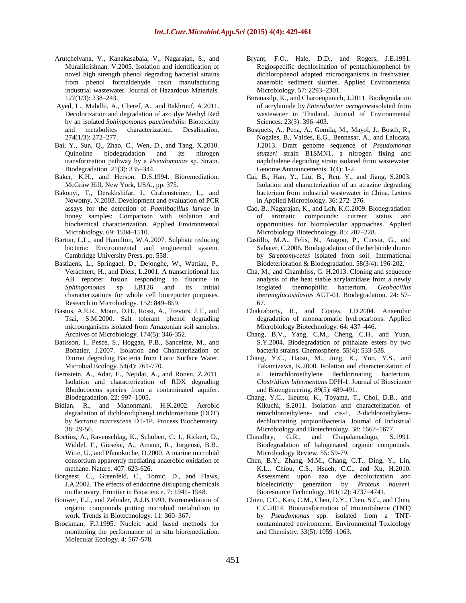- Arutchelvana, V., Kanakasabaia, V., Nagarajan, S., and Muralikrishnan, V.2005. Isolation and identification of novel high strength phenol degrading bacterial strains from phenol formaldehyde resin manufacturing industrial wastewater. Journal of Hazardous Materials. 127(1/3): 238–243.
- [Ayed,](http://www.sciencedirect.com/science/article/pii/S0011916411001500) L., [Mahdhi,](http://www.sciencedirect.com/science/article/pii/S0011916411001500) A., [Cheref,](http://www.sciencedirect.com/science/article/pii/S0011916411001500) A., and [Bakhrouf,](http://www.sciencedirect.com/science/article/pii/S0011916411001500) A.2011. Decolorization and degradation of azo dye Methyl Red by an isolated *Sphingomonas paucimobilis*: Biotoxicity and metabolites characterization. [Desalination.](http://www.sciencedirect.com/science/journal/00119164) [274\(1/3\)](http://www.sciencedirect.com/science/journal/00119164/274/1): 272–277.
- Bai, Y., Sun, Q., Zhao, C., Wen, D., and Tang, X.2010. Quinoline biodegradation and its nitrogen transformation pathway by a *Pseudomonas* sp. Strain. Biodegradation. 21(3): 335–344.
- Baker, K.H., and Herson, D.S.1994. Bioremediation. McGraw Hill. New York, USA., pp. 375.
- Bakonyi, T., Derakhshifar, I., Grabensteiner, L., and Nowotny, N.2003. Development and evaluation of PCR assays for the detection of *Paenibacillus larvae* in honey samples: Comparison with isolation and biochemical characterization. Applied Environmental Microbiology. 69: 1504–1510.
- Barton, L.L., and Hamilton, W.A.2007. Sulphate reducing bacteria: Environmental and engineered system. Cambridge University Press, pp. 558.
- Bastiaens, L., Springael, D., Dejonghe, W., Wattiau, P., Verachtert, H., and Diels, L.2001. A transcriptional lux AB reporter fusion responding to fluorine in *Sphingomonas* sp LB126 and its initial characterizations for whole cell bioreporter purposes. Research in Microbiology. 152: 849–859.
- Bastos, A.E.R., Moon, D.H., Rossi, A., Trevors, J.T., and Tsai, S.M.2000. Salt tolerant phenol degrading microorganisms isolated from Amazonian soil samples. Archives of Microbiology. 174(5): 346-352.
- Batisson, I., Pesce, S., Hoggan, P.B., Sancelme, M., and Bohatier, J.2007. Isolation and Characterization of Diuron degrading Bacteria from Lotic Surface Water. Microbial Ecology. 54(4): 761-770.
- Bernstein, A., Adar, E., Nejidat, A., and Ronen, Z.2011. Isolation and characterization of RDX degrading Rhodococcus species from a contaminated aquifer. Biodegradation. 22: 997–1005.
- Bidlan, R., and Manonmani, H.K.2002. Aerobic degradation of dichlorodiphenyl trichloroethane (DDT) by *Serratia marcescens* DT-1P. Process Biochemistry. 38: 49-56.
- Boetius, A., Ravenschlag, K., Schubert, C. J., Rickert, D., Widdel, F., Gieseke, A., Amann, R., Jorgense, B.B., Witte, U., and Pfannkuche, O.2000. A marine microbial consortium apparently mediating anaerobic oxidation of methane. Nature. 407: 623-626.
- Borgeest, C., Greenfeld, C., Tomic, D., and Flaws, J.A.2002. The effects of endocrine disrupting chemicals on the ovary. Frontier in Bioscience. 7: 1941- 1948.
- Bouwer, E.J., and Zehnder, A.J.B.1993. Bioremediation of organic compounds putting microbial metabolism to work. Trends in Biotechnology. 11: 360–367.
- Brockman, F.J.1995. Nucleic acid based methods for monitoring the performance of in situ bioremediation. Molecular Ecology. 4: 567-578.
- Bryant, F.O., Hale, D.D., and Rogers, J.E.1991. Regiospecific dechlorination of pentachlorophenol by dichlorophenol adapted microorganisms in freshwater, anaerobic sediment slurries. Applied Environmental Microbiology. 57: 2293–2301.
- [Buranasilp,](http://www.sciencedirect.com/science/article/pii/S1001074210604226) K., and [Charoenpanich,](http://www.sciencedirect.com/science/article/pii/S1001074210604226) J.2011. Biodegradation of acrylamide by *Enterobacter aerogenes*isolated from wastewater in Thailand. [Journal of Environmental](http://www.sciencedirect.com/science/journal/10010742)  [Sciences.](http://www.sciencedirect.com/science/journal/10010742) [23\(3\)](http://www.sciencedirect.com/science/journal/10010742/23/3): 396–403.
- Busquets, A., Pena, A., Gomila, M., Mayol, J., Bosch, R., Nogales, B., Valdes, E.G., Bennasar, A., and Lalucata, J.2013. Draft genome sequence of *Pseudomonas stutzeri* strain B1SMN1, a nitrogen fixing and naphthalene degrading strain isolated from wastewater. Genome Announcements. 1(4): 1-2.
- Cai, B., Han, Y., Liu, B., Ren, Y., and Jiang, S.2003. Isolation and characterization of an atrazine degrading bacterium from industrial wastewater in China. Letters in Applied Microbiology. 36: 272–276.
- Cao, B., Nagarajan, K., and Loh, K.C.2009. Biodegradation of aromatic compounds: current status and opportunities for biomolecular approaches. Applied Microbiology Biotechnology. 85: 207–228.
- Castillo, M.A., Felis, N., Aragon, P., Cuesta, G., and Sabater, C.2006. Biodegradation of the herbicide diuron by *Streptomycetes* isolated from soil. International Biodeterioration & Biodegradation. 58(3/4): 196-202.
- Cha, M., and Chambliss, G. H.2013. Cloning and sequence analysis of the heat stable acrylamidase from a newly isoglated thermophilic bacterium, *Geobacillus thermoglucosidasius* AUT-01. Biodegradation. 24: 57– 67.
- Chakraborty, R., and Coates, J.D.2004. Anaerobic degradation of monoaromatic hydrocarbons. Applied Microbiology Biotechnology. 64: 437–446.
- Chang, B,V., Yang, C.M., Cheng, C.H., and Yuan, S.Y.2004. Biodegradation of phthalate esters by two bacteria strains. Chemosphere. 55(4): 533-538.
- Chang, Y.C., Hatsu, M., Jung, K., Yoo, Y.S., and Takamizawa, K.2000. Isolation and characterization of a tetrachloroethylene dechlorinating bacterium, *Clostridium bifermentans* DPH-1. Journal of Bioscience and Bioengineering. 89(5): 489-491.
- Chang, Y.C., Ikeutsu, K., Toyama, T., Choi, D.B., and Kikuchi, S.2011. Isolation and characterization of tetrachloroethylene- and cis-1, 2-dichloroethylenedechlorinating propionibacteria. Journal of Industrial Microbiology and Biotechnology. 38: 1667–1677.
- Chaudhry, G.R., and Chapalamadugu, S.1991. Biodegradation of halogenated organic compounds. Microbiology Review. 55: 59-79.
- Chen, B.Y., Zhang, M.M., Chang, C.T., Ding, Y., Lin, K.L., Chiou, C.S., Hsueh, C.C., and Xu, H.2010. Assessment upon azo dye decolorization and bioelectricity generation by *Proteus hauseri.* Bioresource Technology. 101(12): 4737–4741.
- Chien, C.C., Kao, C.M., Chen, D.Y., Chen, S.C., and Chen, C.C.2014. Biotransformation of trinitrotoluene (TNT) by *Pseudomonas* spp. isolated from a TNTcontaminated environment. Environmental Toxicology and Chemistry. 33(5): 1059–1063.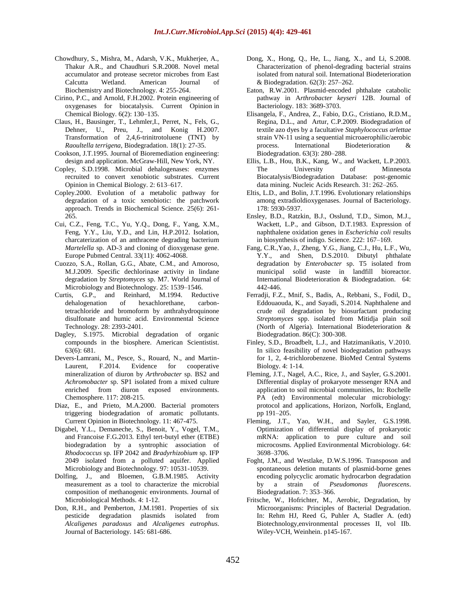- Chowdhury, S., Mishra, M., Adarsh, V.K., Mukherjee, A., Thakur A.R., and Chaudhuri S.R.2008. Novel metal accumulator and protease secretor microbes from East Calcutta Wetland. American Journal Biochemistry and Biotechnology. 4: 255-264.
- Cirino, P.C., and Arnold, F.H.2002. Protein engineering of oxygenases for biocatalysis. Current Opinion in Chemical Biology. 6(2): 130–135.
- Claus, H., Bausinger, T., Lehmler,I., Perret, N., Fels, G., Dehner, U., Preu, J., and Konig H.2007. Transformation of 2,4,6-trinitrotoluene (TNT) by *Raoultella terrigena*, Biodegradation. 18(1): 27-35.
- Cookson, J.T.1995. Journal of Bioremediation engineering: design and application. McGraw-Hill, New York, NY.
- Copley, S.D.1998. Microbial dehalogenases: enzymes recruited to convert xenobiotic substrates. Current Opinion in Chemical Biology. 2: 613–617.
- Copley.2000. Evolution of a metabolic pathway for degradation of a toxic xenobiotic: the patchwork approach. [Trends in Biochemical Scie](http://www.ncbi.nlm.nih.gov/pubmed/10838562)nce. 25(6): 261- 265.
- Cui, C.Z., Feng, T.C., Yu, Y.Q., Dong, F., Yang, X.M., Feng, Y.Y., Liu, Y.D., and Lin, H.P.2012. Isolation, charcaterization of an anthracene degrading bacterium *Martelella* sp. AD-3 and cloning of dioxygenase gene. Europe Pubmed Central. 33(11): 4062-4068.
- Cuozzo, S.A., Rollan, G.G., Abate, C.M., and Amoroso, M.J.2009. Specific dechlorinase activity in lindane degradation by *Streptomyces* sp. M7. World Journal of Microbiology and Biotechnology. 25: 1539–1546.
- Curtis, G.P., and Reinhard, M.1994. Reductive dehalogenation of hexachlorethane, carbontetrachloride and bromoform by anthrahydroquinone disulfonate and humic acid. Environmental Science Technology. 28: 2393-2401.
- Dagley, S.1975. Microbial degradation of organic compounds in the biosphere. American Scientistist. 63(6): 681.
- Devers-Lamrani, M., Pesce, S., Rouard, N., and Martin-Laurent, F.2014. Evidence for cooperative mineralization of diuron by *Arthrobacter* sp. BS2 and *Achromobacter* sp. SP1 isolated from a mixed culture enriched from diuron exposed environments. Chemosphere. 117: 208-215.
- Diaz, E., and Prieto, M.A.2000. Bacterial promoters triggering biodegradation of aromatic pollutants. Current Opinion in Biotechnology. 11: 467-475.
- Digabel, Y.L., Demaneche, S., Benoit, Y., Vogel, T.M., and Francoise F.G.2013. Ethyl tert-butyl ether (ETBE) biodegradation by a syntrophic association of *Rhodococcus* sp. IFP 2042 and *Bradyrhizobium* sp. IFP 2049 isolated from a polluted aquifer. Applied Microbiology and Biotechnology. 97: 10531-10539.
- Dolfing, J., and Bloemen, G.B.M.1985. Activity measurement as a tool to characterize the microbial composition of methanogenic environments. Journal of Microbiological Methods. 4: 1-12.
- Don, R.H., and Pemberton, J.M.1981. Properties of six pesticide degradation plasmids isolated from *Alcaligenes paradoxus* and *Alcaligenes eutrophus*. Journal of Bacteriology. 145: 681-686.
- Dong, X., Hong, Q., He, L., Jiang, X., and Li, S.2008. Characterization of phenol-degrading bacterial strains isolated from natural soil. International Biodeterioration & Biodegradation. 62(3): 257–262.
- Eaton, R.W.2001. Plasmid-encoded phthalate catabolic pathway in A*rthrobacter keyseri* 12B. Journal of Bacteriology. 183: 3689-3703.
- Elisangela, F., Andrea, Z., Fabio, D.G., Cristiano, R.D.M., Regina, D.L., and Artur, C.P.2009. Biodegradation of textile azo dyes by a facultative *Staphylococcus arlettae* strain VN-11 using a sequential microaerophilic/aerobic process. [International Biodeterioration &](http://www.sciencedirect.com/science/journal/09648305)  [Biodegradation.](http://www.sciencedirect.com/science/journal/09648305) [63\(3\)](http://www.sciencedirect.com/science/journal/09648305/63/3): 280–288.
- Ellis, L.B., Hou, B.K., Kang, W., and Wackett, L.P.2003. The University of Minnesota Biocatalysis/Biodegradation Database: post-genomic data mining. Nucleic Acids Research. 31: 262–265.
- Eltis, L.D., and Bolin, J.T.1996. Evolutionary relationships among extradioldioxygenases. Journal of Bacteriology. 178: 5930-5937.
- Ensley, B.D., Ratzkin, B.J., Osslund, T.D., Simon, M.J., Wackett, L.P., and Gibson, D.T.1983. Expression of naphthalene oxidation genes in *Escherichia coli* results in biosynthesis of indigo. Science. 222: 167–169.
- Fang, C.R.,Yao, J., Zheng, Y.G., Jiang, C.J., Hu, L.F., Wu, Y.Y., and Shen, D.S.2010. Dibutyl phthalate degradation by *Enterobacter* sp. T5 isolated from municipal solid waste in landfill bioreactor. International Biodeterioration & Biodegradation. 64: 442-446.
- Ferradji, F.Z., Mnif, S., Badis, A., Rebbani, S., Fodil, D., Eddouaouda, K., and Sayadi, S.2014. Naphthalene and crude oil degradation by biosurfactant producing *Streptomyces* spp. isolated from Mitidja plain soil (North of Algeria). International Biodeterioration & Biodegradation. 86(C): 300-308.
- Finley, S.D., Broadbelt, L.J., and Hatzimanikatis, V.2010. In silico feasibility of novel biodegradation pathways for 1, 2, 4-trichlorobenzene. BioMed Central Systems Biology. 4: 1-14.
- Fleming, J.T., Nagel, A.C., Rice, J., and Sayler, G.S.2001. Differential display of prokaryote messenger RNA and application to soil microbial communities, In: Rochelle PA (edt) Environmental molecular microbiology: protocol and applications, Horizon, Norfolk, England, pp 191–205.
- Fleming, J.T., Yao, W.H., and Sayler, G.S.1998. Optimization of differential display of prokaryotic mRNA: application to pure culture and soil microcosms. Applied Environmental Microbiology. 64: 3698–3706.
- Foght, J.M., and Westlake, D.W.S.1996. Transposon and spontaneous deletion mutants of plasmid-borne genes encoding polycyclic aromatic hydrocarbon degradation by a strain of *Pseudomonas fluorescens*. Biodegradation. 7: 353–366.
- Fritsche, W., Hofrichter, M., Aerobic, Degradation, by Microorganisms: Principles of Bacterial Degradation. In: Rehm HJ, Reed G, Puhler A, Stadler A. (edt) Biotechnology,environmental processes II, vol IIb. Wiley-VCH, Weinhein. p145-167.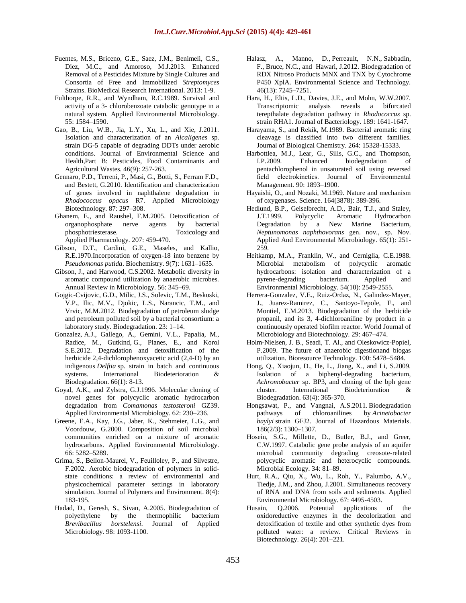- Fuentes, M.S., Briceno, G.E., Saez, J.M., Benimeli, C.S., Diez, M.C., and Amoroso, M.J.2013. Enhanced Removal of a Pesticides Mixture by Single Cultures and Consortia of Free and Immobilized *Streptomyces*  Strains. BioMedical Research International. 2013: 1-9.
- Fulthorpe, R.R., and Wyndham, R.C.1989. Survival and activity of a 3- chlorobenzoate catabolic genotype in a natural system. Applied Environmental Microbiology. 55: 1584–1590.
- Gao, B., Liu, W.B., Jia, L.Y., Xu, L., and Xie, J.2011. Isolation and characterization of an *Alcaligenes* sp. strain DG-5 capable of degrading DDTs under aerobic conditions. Journal of Environmental Science and Health,Part B: Pesticides, Food Contaminants and Agricultural Wastes. 46(9): 257-263.
- Gennaro, P.D., Terreni, P., Masi, G., Botti, S., Ferram F.D., and Bestett, G.2010. Identification and characterization of genes involved in naphthalene degradation in *Rhodococcus opacus* R7. Applied Microbiology Biotechnology. 87: 297–308.
- Ghanem, E., and Raushel, F.M.2005. Detoxification of organophosphate nerve agents by bacterial phosphotriesterase. Toxicology and Applied Pharmacology. 207: 459-470.
- Gibson, D.T., Cardini, G.E., Maseles, and Kallio, R.E.1970.Incorporation of oxygen-18 into benzene by *Pseudomonas putida*. Biochemistry. 9(7): 1631–1635.
- Gibson, J., and Harwood, C.S.2002. Metabolic diversity in aromatic compound utilization by anaerobic microbes. Annual Review in Microbiology. 56: 345–69.
- Gojgic-Cvijovic, G.D., Milic, J.S., Solevic, T.M., Beskoski, V.P., Ilic, M.V., Djokic, L.S., Narancic, T.M., and Vrvic, M.M.2012. Biodegradation of petroleum sludge and petroleum polluted soil by a bacterial consortium: a laboratory study. Biodegradation. 23: 1–14.
- [Gonzalez,](http://www.sciencedirect.com/science/article/pii/S096483051100206X) A.J., Gallego, A., [Gemini,](http://www.sciencedirect.com/science/article/pii/S096483051100206X) V.L., Papalia, M., Radice, M., [Gutkind,](http://www.sciencedirect.com/science/article/pii/S096483051100206X) G., [Planes,](http://www.sciencedirect.com/science/article/pii/S096483051100206X) E., and [Korol](http://www.sciencedirect.com/science/article/pii/S096483051100206X) S.E.2012. Degradation and detoxification of the herbicide 2,4-dichlorophenoxyacetic acid (2,4-D) by an indigenous *Delftia* sp. strain in batch and continuous systems. International [Biodeterioration](http://www.sciencedirect.com/science/journal/09648305) & [Biodegradation.](http://www.sciencedirect.com/science/journal/09648305) 66(1): 8-13.
- Goyal, A.K., and Zylstra, G.J.1996. Molecular cloning of novel genes for polycyclic aromatic hydrocarbon degradation from *Comamonas testosteroni* GZ39. Applied Environmental Microbiology. 62: 230–236.
- Greene, E.A., Kay, J.G., Jaber, K., Stehmeier, L.G., and Voordouw, G.2000. Composition of soil microbial communities enriched on a mixture of aromatic hydrocarbons. Applied Environmental Microbiology. 66: 5282–5289.
- Grima, S., Bellon-Maurel, V., Feuilloley, P., and Silvestre, F.2002. Aerobic biodegradation of polymers in solidstate conditions: a review of environmental and physicochemical parameter settings in laboratory simulation. Journal of Polymers and Environment. 8(4): 183-195.
- Hadad, D., Geresh, S., Sivan, A.2005. Biodegradation of polyethylene by the thermophilic bacterium *Brevibacillus borstelensi*. Journal of Applied Microbiology. 98: 1093-1100.
- [Halasz,](http://pubs.acs.org/action/doSearch?action=search&author=Halasz%2C+A&qsSearchArea=author) A., [Manno,](http://pubs.acs.org/action/doSearch?action=search&author=Manno%2C+D&qsSearchArea=author) D., [Perreault,](http://pubs.acs.org/action/doSearch?action=search&author=Perreault%2C+N+N&qsSearchArea=author) N.N., [Sabbadin,](http://pubs.acs.org/action/doSearch?action=search&author=Sabbadin%2C+F&qsSearchArea=author) F., [Bruce,](http://pubs.acs.org/action/doSearch?action=search&author=Bruce%2C+N+C&qsSearchArea=author) N.C., and [Hawari,](http://pubs.acs.org/action/doSearch?action=search&author=Hawari%2C+J&qsSearchArea=author) J.2012. Biodegradation of RDX Nitroso Products MNX and TNX by Cytochrome P450 XplA. Environmental Science and Technology. 46(13): 7245–7251.
- Hara, H., Eltis, L.D., Davies, J.E., and Mohn, W.W.2007. Transcriptomic analysis reveals a bifurcated terepthalate degradation pathway in *Rhodococcus* sp. strain RHA1. Journal of Bacteriology. 189: 1641-1647.
- Harayama, S., and Rekik, M.1989. Bacterial aromatic ring cleavage is classified into two different families. Journal of Biological Chemistry. 264: 15328-15333.
- Harbottlea, M.J., Lear, G., Sills, G.C., and Thompson, I.P.2009. Enhanced biodegradation of pentachlorophenol in unsaturated soil using reversed field electrokinetics. Journal of Environmental Management. 90: 1893–1900.
- Hayaishi, O., and Nozaki, M.1969. Nature and mechanism of oxygenases. Science. 164(3878): 389-396.
- Hedlund, B.P., Geiselbrecht, A.D., Bair, T.J., and Staley, J.T.1999. Polycyclic Aromatic Hydrocarbon Degradation by a New Marine Bacterium, *Neptunomonas naphthovorans* gen. nov., sp. Nov. Applied And Environmental Microbiology. 65(1): 251- 259.
- Heitkamp, M.A., Franklin, W., and Cerniglia, C.E.1988. Microbial metabolism of polycyclic aromatic hydrocarbons: isolation and characterization of a pyrene-degrading bacterium. Applied and Environmental Microbiology. 54(10): 2549-2555.
- Herrera-Gonzalez, V.E., Ruiz-Ordaz, N., Galindez-Mayer, J., Juarez-Ramirez, C., Santoyo-Tepole, F., and Montiel, E.M.2013. Biodegradation of the herbicide propanil, and its 3, 4-dichloroaniline by product in a continuously operated biofilm reactor. World Journal of Microbiology and Biotechnology. 29: 467–474.
- Holm-Nielsen, J. B., Seadi, T. Al., and Oleskowicz-Popiel, P.2009. The future of anaerobic digestionand biogas utilization. Bioresource Technology. 100: 5478–5484.
- Hong, Q., Xiaojun, D., He, L., Jiang, X., and Li, S.2009. Isolation of a biphenyl-degrading bacterium, *Achromobacter* sp. BP3, and cloning of the bph gene cluster. International Biodeterioration & Biodegradation. 63(4): 365-370.
- [Hongsawat,](http://www.sciencedirect.com/science/article/pii/S030438941001561X) P., [and Vangnai,](http://www.sciencedirect.com/science/article/pii/S030438941001561X) A.S.2011. Biodegradation pathways of chloroanilines by *Acinetobacter baylyi* strain GFJ2. [Journal of Hazardous Materials](http://www.sciencedirect.com/science/journal/03043894)[.](http://www.sciencedirect.com/science/journal/03043894/186/2) [186\(2/3\)](http://www.sciencedirect.com/science/journal/03043894/186/2): 1300–1307.
- Hosein, S.G., Millette, D., Butler, B.J., and Greer, C.W.1997. Catabolic gene probe analysis of an aquifer microbial community degrading creosote-related polycyclic aromatic and heterocyclic compounds. Microbial Ecology. 34: 81–89.
- Hurt, R.A., Qiu, X., Wu, L., Roh, Y., Palumbo, A.V., Tiedje, J.M., and Zhou, J.2001. Simultaneous recovery of RNA and DNA from soils and sediments. Applied Environmental Microbiology. 67: 4495-4503.
- Husain, Q.2006. Potential applications of the oxidoreductive enzymes in the decolorization and detoxification of textile and other synthetic dyes from polluted water: a review. Critical Reviews in Biotechnology. 26(4): 201–221.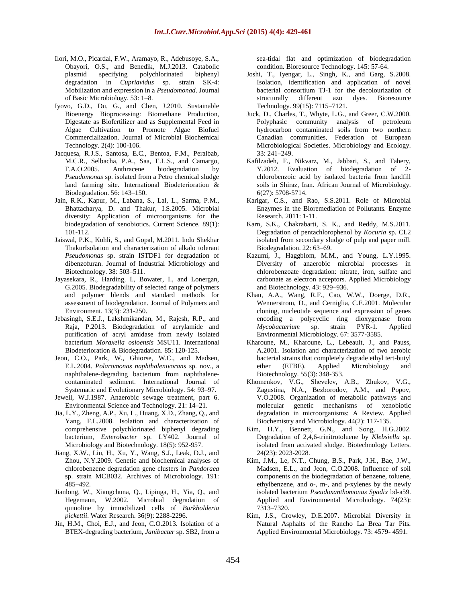- Ilori, M.O., Picardal, F.W., Aramayo, R., Adebusoye, S.A., Obayori, O.S., and Benedik, M.J.2013. Catabolic plasmid specifying polychlorinated biphenyl degradation in *Cupriavidus* sp. strain SK-4: Mobilization and expression in a *Pseudomonad*. Journal of Basic Microbiology. 53: 1–8.
- Iyovo, G.D., Du, G., and Chen, J.2010. Sustainable Bioenergy Bioprocessing: Biomethane Production, Digestate as Biofertilizer and as Supplemental Feed in Algae Cultivation to Promote Algae Biofuel Commercialization. Journal of Microbial Biochemical Technology. 2(4): 100-106.
- Jacquesa, R.J.S., Santosa, E.C., Bentoa, F.M., Peralbab, M.C.R., Selbacha, P.A., Saa, E.L.S., and Camargo, F.A.O.2005. Anthracene biodegradation by *Pseudomonas* sp. isolated from a Petro chemical sludge land farming site. International Biodeterioration & Biodegradation. 56: 143–150.
- Jain, R.K., Kapur, M., Labana, S., Lal, L., Sarma, P.M., Bhattacharya, D. and Thakur, I.S.2005. Microbial diversity: Application of microorganisms for the biodegradation of xenobiotics. Current Science. 89(1): 101-112.
- Jaiswal, P.K., Kohli, S., and Gopal, M.2011. Indu Shekhar ThakurIsolation and characterization of alkalo tolerant *Pseudomonas* sp. strain ISTDF1 for degradation of dibenzofuran. Journal of Industrial Microbiology and Biotechnology. 38: 503–511.
- Jayasekara, R., Harding, I., Bowater, I., and Lonergan, G.2005. Biodegradability of selected range of polymers and polymer blends and standard methods for assessment of biodegradation. Journal of Polymers and Environment. 13(3): 231-250.
- Jebasingh, S.E.J., Lakshmikandan, M., Rajesh, R.P., and Raja, P.2013. Biodegradation of acrylamide and purification of acryl amidase from newly isolated bacterium *Moraxella osloensis* MSU11. International Biodeterioration & Biodegradation. 85: 120-125.
- Jeon, C.O., Park, W., Ghiorse, W.C., and Madsen, E.L.2004. *Polaromonas naphthalenivorans* sp. nov., a naphthalene-degrading bacterium from naphthalenecontaminated sediment. International Journal of Systematic and Evolutionary Microbiology. 54: 93–97.
- Jewell, W.J.1987. Anaerobic sewage treatment, part 6. Environmental Science and Technology. 21: 14–21.
- Jia, L.Y., Zheng, A.P., Xu, L., Huang, X.D., Zhang, Q., and Yang, F.L.2008. Isolation and characterization of comprehensive polychlorinated biphenyl degrading bacterium, *Enterobacter* sp. LY402. Journal of Microbiology and Biotechnology. 18(5): 952-957.
- Jiang, X.W., Liu, H., Xu, Y., Wang, S.J., Leak, D.J., and Zhou, N.Y.2009. Genetic and biochemical analyses of chlorobenzene degradation gene clusters in *Pandoraea*  sp. strain MCB032. Archives of Microbiology. 191: 485–492.
- Jianlong, W., Xiangchuna, Q., Lipinga, H., Yia, Q., and Hegemann, W.2002. Microbial degradation of quinoline by immobilized cells of *Burkholderia pickettii*. Water Research. 36(9): 2288-2296.
- Jin, H.M., Choi, E.J., and Jeon, C.O.2013. Isolation of a BTEX-degrading bacterium, *Janibacter* sp. SB2, from a

sea-tidal flat and optimization of biodegradation condition. Bioresource Technology. 145: 57-64.

- Joshi, T., Iyengar, L., Singh, K., and Garg, S.2008. Isolation, identification and application of novel bacterial consortium TJ-1 for the decolourization of structurally different azo dyes. Bioresource Technology. 99(15): 7115–7121.
- Juck, D., Charles, T., Whyte, L.G., and Greer, C.W.2000. Polyphasic community analysis of petroleum hydrocarbon contaminated soils from two northern Canadian communities, Federation of European Microbiological Societies. Microbiology and Ecology. 33: 241–249.
- Kafilzadeh, F., Nikvarz, M., Jabbari, S., and Tahery, Y.2012. Evaluation of biodegradation of 2 chlorobenzoic acid by isolated bacteria from landfill soils in Shiraz, Iran. African Journal of Microbiology. 6(27): 5708-5714.
- Karigar, C.S., and Rao, S.S.2011. Role of Microbial Enzymes in the Bioremediation of Pollutants. Enzyme Research. 2011: 1-11.
- Karn, S.K., Chakrabarti, S. K., and Reddy, M.S.2011. Degradation of pentachlorophenol by *Kocuria* sp. CL2 isolated from secondary sludge of pulp and paper mill. Biodegradation. 22: 63–69.
- Kazumi, J., Haggblom, M.M., and Young, L.Y.1995. Diversity of anaerobic microbial processes in chlorobenzoate degradation: nitrate, iron, sulfate and carbonate as electron acceptors. Applied Microbiology and Biotechnology. 43: 929–936.
- Khan, A.A., Wang, R.F., Cao, W.W., Doerge, D.R., Wennerstrom, D., and Cerniglia, C.E.2001. Molecular cloning, nucleotide sequence and expression of genes encoding a polycyclic ring dioxygenase from *Mycobacterium* sp. strain PYR-1. Applied Environmental Microbiology. 67: 3577-3585.
- Kharoune, M., Kharoune, L., Lebeault, J., and Pauss, A.2001. Isolation and characterization of two aerobic bacterial strains that completely degrade ethyl tert-butyl ether (ETBE). Applied Microbiology and Biotechnology. 55(3): 348-353.
- Khomenkov, V.G., Shevelev, A.B., Zhukov, V.G., Zagustina, N.A., Bezborodov, A.M., and Popov, V.O.2008. Organization of metabolic pathways and molecular genetic mechanisms of xenobiotic degradation in microorganisms: A Review. Applied Biochemistry and Microbiology. 44(2): 117-135.
- Kim, H.Y., Bennett, G.N., and Song, H.G.2002. Degradation of 2,4,6-trinitrotoluene by *Klebsiella* sp. isolated from activated sludge. Biotechnology Letters. 24(23): 2023-2028.
- Kim, J.M., Le, N.T., Chung, B.S., Park, J.H., Bae, J.W., Madsen, E.L., and Jeon, C.O.2008. Influence of soil components on the biodegradation of benzene, toluene, ethylbenzene, and o-, m-, and p-xylenes by the newly isolated bacterium *Pseudoxanthomonas Spadix* bd-a59. Applied and Environmental Microbiology. 74(23): 7313–7320.
- Kim, J.S., Crowley, D.E.2007. Microbial Diversity in Natural Asphalts of the Rancho La Brea Tar Pits. Applied Environmental Microbiology. 73: 4579- 4591.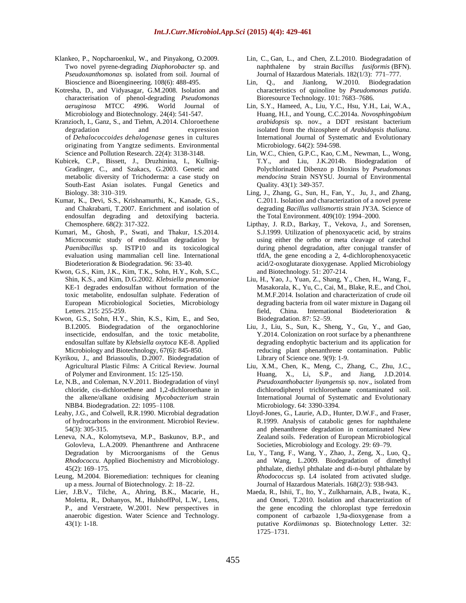- Klankeo, P., Nopcharoenkul, W., and Pinyakong, O.2009. Two novel pyrene-degrading *Diaphorobacter* sp. and *Pseudoxanthomonas* sp. isolated from soil. Journal of Bioscience and Bioengineering. 108(6): 488-495.
- Kotresha, D., and Vidyasagar, G.M.2008. Isolation and characterisation of phenol-degrading *Pseudomonas aeruginosa* MTCC 4996. World Journal of Microbiology and Biotechnology. 24(4): 541-547.
- [Kranzioch,](http://link.springer.com/search?facet-author=%22Irene+Kranzioch%22) I., Ganz, S., and Tiehm, A.2014. Chloroethene degradation and expression of *Dehalococcoides dehalogenase* genes in cultures originating from Yangtze sediments. [Environmental](http://link.springer.com/journal/11356) Science and Pollution [Research.](http://link.springer.com/journal/11356) 22(4): 3138-3148.
- Kubicek, C.P., Bissett, J., Druzhinina, I., Kullnig-Gradinger, C., and Szakacs, G.2003. Genetic and metabolic diversity of Trichoderma: a case study on South-East Asian isolates. Fungal Genetics and Biology. 38: 310–319.
- Kumar, K., Devi, S.S., Krishnamurthi, K., Kanade, G.S., and Chakrabarti, T.2007. Enrichment and isolation of endosulfan degrading and detoxifying bacteria. Chemosphere. 68(2): 317-322.
- Kumari, M., Ghosh, P., Swati, and Thakur, I.S.2014. Microcosmic study of endosulfan degradation by *Paenibacillus* sp. ISTP10 and its toxicological evaluation using mammalian cell line. International Biodeterioration & Biodegradation. 96: 33-40.
- Kwon, G.S., Kim, J.K., Kim, T.K., Sohn, H.Y., Koh, S.C., Shin, K.S., and Kim, D.G.2002. *Klebsiella pneumoniae* KE-1 degrades endosulfan without formation of the toxic metabolite, endosulfan sulphate. Federation of European Microbiological Societies, Microbiology Letters. 215: 255-259.
- Kwon, G.S., Sohn, H.Y., Shin, K.S., Kim, E., and Seo, B.I.2005. Biodegradation of the organochlorine insecticide, endosulfan, and the toxic metabolite, endosulfan sulfate by *Klebsiella oxytoca* KE-8. Applied Microbiology and Biotechnology, 67(6): 845-850.
- Kyrikou, J., and Briassoulis, D.2007. Biodegradation of Agricultural Plastic Films: A Critical Review. Journal of Polymer and Environment. 15: 125-150.
- Le, N.B., and Coleman, N.V.2011. Biodegradation of vinyl chloride, cis-dichloroethene and 1,2-dichloroethane in the alkene/alkane oxidising *Mycobacterium* strain NBB4. Biodegradation. 22: 1095–1108.
- Leahy, J.G., and Colwell, R.R.1990. Microbial degradation of hydrocarbons in the environment. Microbiol Review. 54(3): 305-315.
- Leneva, N.A., Kolomytseva, M.P., Baskunov, B.P., and Golovleva, L.A.2009. Phenanthrene and Anthracene Degradation by Microorganisms of the Genus *Rhodococcu*. Applied Biochemistry and Microbiology. 45(2): 169–175.
- Leung, M.2004. Bioremediation: techniques for cleaning up a mess. Journal of Biotechnology. 2: 18–22.
- Lier, J.B.V., Tilche, A., Ahring, B.K., Macarie, H., Moletta, R., Dohanyos, M., HulshoffPol, L.W., Lens, P., and Verstraete, W.2001. New perspectives in anaerobic digestion. Water Science and Technology. 43(1): 1-18.
- [Lin,](http://www.sciencedirect.com/science/article/pii/S0304389410008411) C., [Gan,](http://www.sciencedirect.com/science/article/pii/S0304389410008411) L., and [Chen,](http://www.sciencedirect.com/science/article/pii/S0304389410008411) Z.L.2010. Biodegradation of naphthalene by strain *Bacillus fusiformis* (BFN). [Journal of Hazardous Materials.](http://www.sciencedirect.com/science/journal/03043894) [182\(1/3\)](http://www.sciencedirect.com/science/journal/03043894/182/1): 771–777.
- Lin, Q., and Jianlong, W.2010. Biodegradation characteristics of quinoline by *Pseudomonas putida*. Bioresource Technology. 101: 7683–7686.
- Lin, S.Y., Hameed, A., Liu, Y.C., Hsu, Y.H., Lai, W.A., Huang, H.I., and Young, C.C.2014a. *Novosphingobium arabidopsis* sp. nov., a DDT resistant bacterium isolated from the rhizosphere of *Arabidopsis thaliana*. International Journal of Systematic and Evolutionary Microbiology. 64(2): 594-598.
- Lin, W.C., Chien, G.P.C., Kao, C.M., Newman, L., Wong, T.Y., and Liu, J.K.2014b. Biodegradation of Polychlorinated Dibenzo p Dioxins by *Pseudomonas mendocina* Strain NSYSU. Journal of [Environmental](https://dl.sciencesocieties.org/publications/jeq) [Quality.](https://dl.sciencesocieties.org/publications/jeq) 43(1): 349-357.
- [Ling,](http://www.sciencedirect.com/science/article/pii/S0048969711001690) J., [Zhang,](http://www.sciencedirect.com/science/article/pii/S0048969711001690) G., [Sun,](http://www.sciencedirect.com/science/article/pii/S0048969711001690) H., [Fan,](http://www.sciencedirect.com/science/article/pii/S0048969711001690) Y., [Ju,](http://www.sciencedirect.com/science/article/pii/S0048969711001690) J., and [Zhang,](http://www.sciencedirect.com/science/article/pii/S0048969711001690) C.2011. Isolation and characterization of a novel pyrene degrading *Bacillus vallismortis* strain JY3A. [Science of](http://www.sciencedirect.com/science/journal/00489697)  [the Total Environment.](http://www.sciencedirect.com/science/journal/00489697) [409\(10\):](http://www.sciencedirect.com/science/journal/00489697/409/10) 1994–2000.
- Lipthay, J. R.D., Barkay, T., Vekova, J., and Sorensen, S.J.1999. Utilization of phenoxyacetic acid, by strains using either the ortho or meta cleavage of catechol during phenol degradation, after conjugal transfer of tfdA, the gene encoding a 2, 4-dichlorophenoxyacetic acid/2-oxoglutarate dioxygenase. Applied Microbiology and Biotechnology. 51: 207-214.
- Liu, H., Yao, J., Yuan, Z., Shang, Y., Chen, H., Wang, F., Masakorala, K., Yu, C., Cai, M., Blake, R.E., and Choi, M.M.F.2014. Isolation and characterization of crude oil degrading bacteria from oil water mixture in Dagang oil field, China. International Biodeterioration & Biodegradation. 87: 52–59.
- Liu, J., Liu, S., Sun, K., Sheng, Y., Gu, Y., and Gao, Y.2014. Colonization on root surface by a phenanthrene degrading endophytic bacterium and its application for reducing plant phenanthrene contamination. Public Library of Science one. 9(9): 1-9.
- Liu, X.M., Chen, K., Meng, C., Zhang, C., Zhu, J.C., Huang, X., Li, S.P., and Jiang, J.D.2014. *Pseudoxanthobacter liyangensis* sp. nov., isolated from dichlorodiphenyl trichloroethane contaminated soil. International Journal of Systematic and Evolutionary Microbiology. 64: 3390-3394.
- Lloyd-Jones, G., Laurie, A.D., Hunter, D.W.F., and Fraser, R.1999. Analysis of catabolic genes for naphthalene and phenanthrene degradation in contaminated New Zealand soils. Federation of European Microbiological Societies, Microbiology and Ecology. 29: 69–79.
- Lu, Y., Tang, F., Wang, Y., Zhao, J., Zeng, X., Luo, Q., and Wang, L.2009. Biodegradation of dimethyl phthalate, diethyl phthalate and di-n-butyl phthalate by *Rhodococcus* sp. L4 isolated from activated sludge. Journal of Hazardous Materials. 168(2/3): 938-943.
- Maeda, R., Ishii, T., Ito, Y., Zulkharnain, A.B., Iwata, K., and Omori, T.2010. Isolation and characterization of the gene encoding the chloroplast type ferredoxin component of carbazole 1,9a-dioxygenase from a putative *Kordiimonas* sp. Biotechnology Letter. 32: 1725–1731.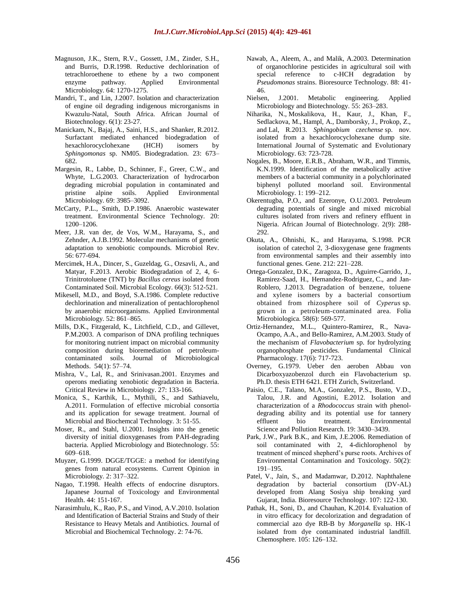- Magnuson, J.K., Stern, R.V., Gossett, J.M., Zinder, S.H., and Burris, D.R.1998. Reductive dechlorination of tetrachloroethene to ethene by a two component enzyme pathway. Applied Environmental Microbiology. 64: 1270-1275.
- Mandri, T., and Lin, J.2007. Isolation and characterization of engine oil degrading indigenous microrganisms in Kwazulu-Natal, South Africa. African Journal of Biotechnology. 6(1): 23-27.
- Manickam, N., Bajaj, A., Saini, H.S., and Shanker, R.2012. Surfactant mediated enhanced biodegradation of hexachlorocyclohexane (HCH) isomers by *Sphingomonas* sp. NM05. Biodegradation. 23: 673– 682.
- Margesin, R., Labbe, D., Schinner, F., Greer, C.W., and Whyte, L.G.2003. Characterization of hydrocarbon degrading microbial population in contaminated and pristine alpine soils. Applied Environmental Microbiology. 69: 3985–3092.
- McCarty, P.L., Smith, D.P.1986. Anaerobic wastewater treatment. Environmental Science Technology. 20: 1200–1206.
- Meer, J.R. van der, de Vos, W.M., Harayama, S., and Zehnder, A.J.B.1992. Molecular mechanisms of genetic adaptation to xenobiotic compounds. Microbiol Rev. 56: 677-694.
- Mercimek, H.A., Dincer, S., Guzeldag, G., Ozsavli, A., and Matyar, F.2013. Aerobic Biodegradation of 2, 4, 6- Trinitrotoluene (TNT) by *Bacillus cereus* isolated from Contaminated Soil. Microbial Ecology. 66(3): 512-521.
- Mikesell, M.D., and Boyd, S.A.1986. Complete reductive dechlorination and mineralization of pentachlorophenol by anaerobic microorganisms. Applied Environmental Microbiology. 52: 861–865.
- Mills, D.K., Fitzgerald, K., Litchfield, C.D., and Gillevet, P.M.2003. A comparison of DNA profiling techniques for monitoring nutrient impact on microbial community composition during bioremediation of petroleumcontaminated soils. Journal of [Microbiological](http://www.sciencedirect.com/science/journal/01677012) [Methods.](http://www.sciencedirect.com/science/journal/01677012) [54\(1\):](http://www.sciencedirect.com/science/journal/01677012/54/1) 57–74.
- Mishra, V., Lal, R., and Srinivasan.2001. Enzymes and operons mediating xenobiotic degradation in Bacteria. Critical Review in Microbiology. 27: 133-166.
- Monica, S., Karthik, L., Mythili, S., and Sathiavelu, A.2011. Formulation of effective microbial consortia and its application for sewage treatment. Journal of Microbial and Biochemcal Technology. 3: 51-55.
- Moser, R., and Stahl, U.2001. Insights into the genetic diversity of initial dioxygenases from PAH-degrading bacteria. Applied Microbiology and Biotechnology. 55: 609–618.
- Muyzer, G.1999. DGGE/TGGE: a method for identifying genes from natural ecosystems. Current Opinion in Microbiology. 2: 317–322.
- Nagao, T.1998. Health effects of endocrine disruptors. Japanese Journal of Toxicology and Environmental Health. 44: 151-167.
- Narasimhulu, K., Rao, P.S., and Vinod, A.V.2010. Isolation and Identification of Bacterial Strains and Study of their Resistance to Heavy Metals and Antibiotics. Journal of Microbial and Biochemical Technology. 2: 74-76.
- Nawab, A., Aleem, A., and Malik, A.2003. Determination of organochlorine pesticides in agricultural soil with special reference to c-HCH degradation by *Pseudomonas* strains. Bioresource Technology. 88: 41- 46.
- Nielsen, J.2001. Metabolic engineering. Applied Microbiology and Biotechnology. 55: 263–283.
- Niharika, N., Moskalikova, H., Kaur, J., Khan, F., Sedlackova, M., Hampl, A., Damborsky, J., Prokop, Z., and Lal, R.2013. *Sphingobium czechense* sp. nov. isolated from a hexachlorocyclohexane dump site. International Journal of Systematic and Evolutionary Microbiology. 63: 723-728.
- Nogales, B., Moore, E.R.B., Abraham, W.R., and Timmis, K.N.1999. Identification of the metabolically active members of a bacterial community in a polychlorinated biphenyl polluted moorland soil. Environmental Microbiology. 1: 199–212.
- Okerentugba, P.O., and Ezeronye, O.U.2003. Petroleum degrading potentials of single and mixed microbial cultures isolated from rivers and refinery effluent in Nigeria. African Journal of Biotechnology. 2(9): 288- 292.
- Okuta, A., Ohnishi, K., and Harayama, S.1998. PCR isolation of catechol 2, 3-dioxygenase gene fragments from environmental samples and their assembly into functional genes. Gene. 212: 221–228.
- Ortega-Gonzalez, D.K., [Zaragoza,](http://link.springer.com/search?facet-author=%22Diego+Zaragoza%22) D., [Aguirre-Garrido,](http://link.springer.com/search?facet-author=%22Jos%C3%A9+Aguirre-Garrido%22) J., [Ramirez-Saad,](http://link.springer.com/search?facet-author=%22Hugo+Ram%C3%ADrez-Saad%22) H., [Hernandez-Rodriguez,](http://link.springer.com/search?facet-author=%22C%C3%A9sar+Hern%C3%A1ndez-Rodr%C3%ADguez%22) C., and [Jan-](http://link.springer.com/search?facet-author=%22Janet+Jan-Roblero%22)[Roblero,](http://link.springer.com/search?facet-author=%22Janet+Jan-Roblero%22) J.2013. Degradation of benzene, toluene and xylene isomers by a bacterial consortium obtained from rhizosphere soil of *Cyperus* sp. grown in a petroleum-contaminated area. [Folia](http://link.springer.com/journal/12223) [Microbiologica.](http://link.springer.com/journal/12223) 58(6): 569-577.
- Ortiz-Hernandez, M.L., Quintero-Ramirez, R., Nava-Ocampo, A.A., and Bello-Ramirez, A.M.2003. Study of the mechanism of *Flavobacterium* sp. for hydrolyzing organophosphate pesticides. Fundamental Clinical Pharmacology. 17(6): 717-723.
- Overney, G.1979. Ueber den aeroben Abbau von Dicarboxyazobenzol durch ein Flavobacterium sp. Ph.D. thesis ETH 6421. ETH Zurich, Switzerland.
- Paisio, C.E., Talano, M.A., Gonzalez, P.S., Busto, V.D., Talou, J.R. and Agostini, E.2012. Isolation and characterization of a *Rhodococcus* strain with phenoldegrading ability and its potential use for tannery effluent bio treatment. Environmental Science and Pollution Research. 19: 3430–3439.
- Park, J.W., Park B.K., and Kim, J.E.2006. Remediation of soil contaminated with 2, 4-dichlorophenol by treatment of minced shepherd's purse roots. Archives of Environmental Contamination and Toxicology. 50(2): 191–195.
- Patel, V., Jain, S., and Madamwar, D.2012. Naphthalene degradation by bacterial consortium (DV-AL) developed from Alang Sosiya ship breaking yard Gujarat, India. Bioresource Technology. 107: 122-130.
- Pathak, H., Soni, D., and Chauhan, K.2014. Evaluation of in vitro efficacy for decolorization and degradation of commercial azo dye RB-B by *Morganella* sp. HK-1 isolated from dye contaminated industrial landfill. Chemosphere. 105: 126–132.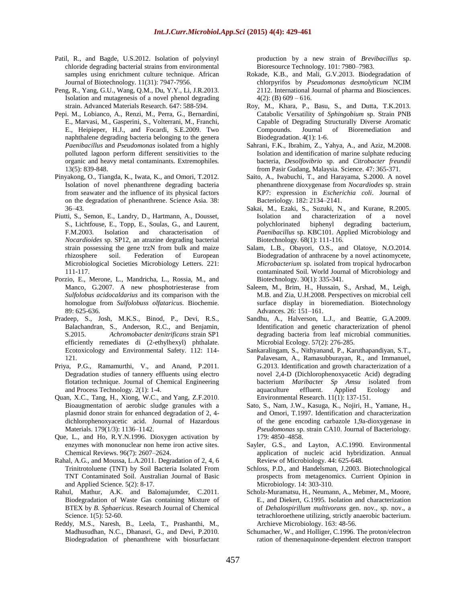- Patil, R., and Bagde, U.S.2012. Isolation of polyvinyl chloride degrading bacterial strains from environmental samples using enrichment culture technique. African Journal of Biotechnology. 11(31): 7947-7956.
- [Peng,](http://www.scientific.net/author/Ren_Peng_2) R., [Yang,](http://www.scientific.net/author/Gui_Juan_Yang) G.U., [Wang,](http://www.scientific.net/author/Qi_Ming_Wang_11) Q.M.[, Du,](http://www.scientific.net/author/Yun_Yun_Du) Y.Y., [Li,](http://www.scientific.net/author/Jia_Rong_Li_4) J.R.2013. Isolation and mutagenesis of a novel phenol degrading strain. [Advanced Materials Research.](http://www.scientific.net/AMR) 647: 588-594.
- Pepi. M., Lobianco, A., Renzi, M., Perra, G., Bernardini, E., Marvasi, M., Gasperini, S., Volterrani, M., Franchi, E., Heipieper, H.J., and Focardi, S.E.2009. Two naphthalene degrading bacteria belonging to the genera *Paenibacillus* and *Pseudomonas* isolated from a highly polluted lagoon perform different sensitivities to the organic and heavy metal contaminants. Extremophiles. 13(5): 839-848.
- Pinyakong, O., Tiangda, K., Iwata, K., and Omori, T.2012. Isolation of novel phenanthrene degrading bacteria from seawater and the influence of its physical factors on the degradation of phenanthrene. Science Asia. 38: 36–43.
- Piutti, S., Semon, E., Landry, D., Hartmann, A., Dousset, S., Lichtfouse, E., Topp, E., Soulas, G., and Laurent, F.M.2003. Isolation and characterisation of *Nocardioides* sp. SP12, an atrazine degrading bacterial strain possessing the gene trzN from bulk and maize rhizosphere soil. Federation of European Microbiological Societies Microbiology Letters. 221: 111-117.
- Porzio, E., Merone, L., Mandricha, L., Rossia, M., and Manco, G.2007. A new phosphotriesterase from *Sulfolobus acidocaldarius* and its comparison with the homologue from *Sulfolobuss olfataricus*. Biochemie. 89: 625-636.
- Pradeep, S., Josh, M.K.S., Binod, P., Devi, R.S., Balachandran, S., Anderson, R.C., and Benjamin, S.2015. *Achromobacter denitrificans* strain SP1 efficiently remediates di (2-ethylhexyl) phthalate. Ecotoxicology and Environmental Safety. 112: 114- 121.
- Priya, P.G., Ramamurthi, V., and Anand, P.2011. Degradation studies of tannery effluents using electro flotation technique. Journal of Chemical Engineering and Process Technology. 2(1): 1-4.
- [Quan,](http://www.sciencedirect.com/science/article/pii/S0304389410004486) X.C., [Tang,](http://www.sciencedirect.com/science/article/pii/S0304389410004486) H., [Xiong,](http://www.sciencedirect.com/science/article/pii/S0304389410004486) W.C., and [Yang,](http://www.sciencedirect.com/science/article/pii/S0304389410004486) Z.F.2010. Bioaugmentation of aerobic sludge granules with a plasmid donor strain for enhanced degradation of 2, 4 dichlorophenoxyacetic acid. [Journal of Hazardous](http://www.sciencedirect.com/science/journal/03043894)  [Materials.](http://www.sciencedirect.com/science/journal/03043894) [179\(1/3\)](http://www.sciencedirect.com/science/journal/03043894/179/1): 1136–1142.
- Que, L., and Ho, R.Y.N.1996. Dioxygen activation by enzymes with mononuclear non heme iron active sites. Chemical Reviews. 96(7): 2607–2624.
- Rahal, A.G., and Moussa, L.A.2011. Degradation of 2, 4, 6 Trinitrotoluene (TNT) by Soil Bacteria Isolated From TNT Contaminated Soil. Australian Journal of Basic and Applied Science. 5(2): 8-17.
- Rahul, Mathur, A.K. and Balomajumder, C.2011. Biodegradation of Waste Gas containing Mixture of BTEX by *B. Sphaericus*. Research Journal of Chemical Science. 1(5): 52-60.
- Reddy, M.S., Naresh, B., Leela, T., Prashanthi, M., Madhusudhan, N.C., Dhanasri, G., and Devi, P.2010. Biodegradation of phenanthrene with biosurfactant

production by a new strain of *Brevibacillus* sp. Bioresource Technology. 101: 7980–7983.

- Rokade, K.B., and Mali, G.V.2013. Biodegradation of chlorpyrifos by *Pseudomonas desmolyticum* NCIM 2112. International Journal of pharma and Biosciences.  $4(2)$ : (B)  $609 - 616$ .
- Roy, M., Khara, P., Basu, S., and Dutta, T.K.2013. Catabolic Versatility of *Sphingobium* sp. Strain PNB Capable of Degrading Structurally Diverse Aromatic Compounds. Journal of Bioremediation and Biodegradation. 4(1): 1-6.
- Sahrani, F.K., Ibrahim, Z., Yahya, A., and Aziz, M.2008. Isolation and identification of marine sulphate reducing bacteria, *Desolfovibrio* sp. and *Citrobacter freundii*  from Pasir Gudang, Malaysia. Science. 47: 365-371.
- Saito, A., Iwabuchi, T., and Harayama, S.2000. A novel phenanthrene dioxygenase from *Nocardiodes* sp. strain KP7: expression in *Escherichia coli*. Journal of Bacteriology. 182: 2134–2141.
- Sakai, M., Ezaki, S., Suzuki, N., and Kurane, R.2005. Isolation and characterization of a novel polychlorinated biphenyl degrading bacterium, *Paenibacillus* sp. KBC101. Applied Microbiology and Biotechnology. 68(1): 111-116.
- Salam, L.B., Obayori, O.S., and Olatoye, N.O.2014. Biodegradation of anthracene by a novel actinomycete, *Microbacterium* sp. isolated from tropical hydrocarbon contaminated Soil. World Journal of Microbiology and Biotechnology. 30(1): 335-341.
- Saleem, M., Brim, H., Hussain, S., Arshad, M., Leigh, M.B. and Zia, U.H.2008. Perspectives on microbial cell surface display in bioremediation. Biotechnology Advances. 26: 151–161.
- Sandhu, A., Halverson, L.J., and Beattie, G.A.2009. Identification and genetic characterization of phenol degrading bacteria from leaf microbial communities. Microbial Ecology. 57(2): 276-285.
- Sankaralingam, S., Nithyanand, P., Karuthapandiyan, S.T., Palavesam, A., Ramasubburayan, R., and Immanuel, G.2013. Identification and growth characterization of a novel 2,4-D (Dichlorophenoxyacetic Acid) degrading bacterium *Maribacte*r *Sp Amsu* isolated from aquaculture effluent. Applied Ecology and Environmental Research. 11(1): 137-151.
- Sato, S., Nam, J.W., Kasuga, K., Nojiri, H., Yamane, H., and Omori, T.1997. Identification and characterization of the gene encoding carbazole 1,9a-dioxygenase in *Pseudomonas* sp. strain CA10. Journal of Bacteriology. 179: 4850–4858.
- Sayler, G.S., and Layton, A.C.1990. Environmental application of nucleic acid hybridization. Annual Review of Microbiology. 44: 625-648.
- Schloss, P.D., and Handelsman, J.2003. Biotechnological prospects from metagenomics. Currient Opinion in Microbiology. 14: 303-310.
- Scholz-Muramatsu, H., Neumann, A., Mebmer, M., Moore, E., and Diekert, G.1995. Isolation and characterization of *Dehalospirillum multivorans* gen. nov., sp. nov., a tetrachloroethene utilizing, strictly anaerobic bacterium. Archieve Microbiology. 163: 48-56.
- Schumacher, W., and Holliger, C.1996. The proton/electron ration of themenaquinone-dependent electron transport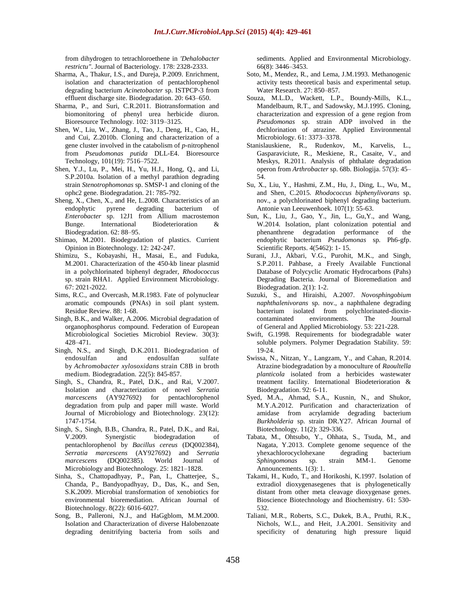from dihydrogen to tetrachloroethene in *'Dehalobacter restrictu"*. Journal of Bacteriology. 178: 2328-2333.

- Sharma, A., Thakur, I.S., and Dureja, P.2009. Enrichment, isolation and characterization of pentachlorophenol degrading bacterium *Acinetobacter* sp. ISTPCP-3 from effluent discharge site. Biodegradation. 20: 643–650.
- Sharma, P., and Suri, C.R.2011. Biotransformation and biomonitoring of phenyl urea herbicide diuron. Bioresource Technology. 102: 3119–3125.
- Shen, W., Liu, W., Zhang, J., Tao, J., Deng, H., Cao, H., and Cui, Z.2010b. Cloning and characterization of a gene cluster involved in the catabolism of *p*-nitrophenol from *Pseudomonas putida* DLL-E4. [Bioresource](http://www.sciencedirect.com/science/journal/09608524) [Technology,](http://www.sciencedirect.com/science/journal/09608524) 101(19): 7516–7522.
- Shen, Y.J., Lu, P., Mei, H., Yu, H.J., Hong, Q., and Li, S.P.2010a. Isolation of a methyl parathion degrading strain *Stenotrophomonas* sp. SMSP-1 and cloning of the ophc2 gene. Biodegradation. 21: 785-792.
- Sheng, X., Chen, X., and He, L.2008. Characteristics of an endophytic pyrene degrading bacterium of *Enterobacter* sp. 12J1 from Allium macrostemon Bunge. International Biodeterioration & Biodegradation. 62: 88–95.
- Shimao, M.2001. Biodegradation of plastics. Currient Opinion in Biotechnology. 12: 242-247.
- Shimizu, S., Kobayashi, H., Masai, E., and Fuduka, M.2001. Characterization of the 450-kb linear plasmid in a polychlorinated biphenyl degrader, *Rhodococcus*  sp. strain RHA1. Applied Environment Microbiology. 67: 2021-2022.
- Sims, R.C., and Overcash, M.R.1983. Fate of polynuclear aromatic compounds (PNAs) in soil plant system. Residue Review. 88: 1-68.
- Singh, B.K., and Walker, A.2006. Microbial degradation of organophosphorus compound. Federation of European Microbiological Societies Microbiol Review. 30(3): 428–471.
- [Singh,](http://link.springer.com/search?facet-author=%22Ngangbam+Sarat+Singh%22) N.S., [and Singh,](http://link.springer.com/search?facet-author=%22Dileep+K.+Singh%22) D.K.2011. Biodegradation of endosulfan and endosulfan sulfate by *Achromobacter xylosoxidans* strain C8B in broth medium. [Biodegradation.](http://link.springer.com/journal/10532) 22[\(5\)](http://link.springer.com/journal/10532/22/5/page/1): 845-857.
- Singh, S., Chandra, R., Patel, D.K., and Rai, V.2007. Isolation and characterization of novel *Serratia marcescens* (AY927692) for pentachlorophenol degradation from pulp and paper mill waste. World Journal of Microbiology and Biotechnology. 23(12): 1747-1754.
- Singh, S., Singh, B.B., Chandra, R., Patel, D.K., and Rai, V.2009. Synergistic biodegradation of pentachlorophenol by *Bacillus cereus* (DQ002384), *Serratia marcescens* (AY927692) and *Serratia marcescens* (DQ002385). World Journal of Microbiology and Biotechnology. 25: 1821–1828.
- Sinha, S., Chattopadhyay, P., Pan, I., Chatterjee, S., Chanda, P., Bandyopadhyay, D., Das, K., and Sen, S.K.2009. Microbial transformation of xenobiotics for environmental bioremediation. African Journal of Biotechnology. 8(22): 6016-6027.
- Song, B., Palleroni, N.J., and HaGgblom, M.M.2000. Isolation and Characterization of diverse Halobenzoate degrading denitrifying bacteria from soils and

sediments. Applied and Environmental Microbiology. 66(8): 3446–3453.

- Soto, M., Mendez, R., and Lema, J.M.1993. Methanogenic activity tests theoretical basis and experimental setup. Water Research. 27: 850–857.
- Souza, M.L.D., Wackett, L.P., Boundy-Mills, K.L., Mandelbaum, R.T., and Sadowsky, M.J.1995. Cloning, characterization and expression of a gene region from *Pseudomonas* sp. strain ADP involved in the dechlorination of atrazine. Applied Environmental Microbiology. 61: 3373–3378.
- Stanislauskiene, R., Rudenkov, M., Karvelis, L., Gasparaviciute, R., Meskiene, R., Casaite, V., and Meskys, R.2011. Analysis of phthalate degradation operon from *Arthrobacter* sp. 68b. Biologija. 57(3): 45– 54.
- Su, X., Liu, Y., Hashmi, Z.M., Hu, J., Ding, L., Wu, M., and Shen, C.2015. *Rhodococcus biphenylivorans* sp. nov., a polychlorinated biphenyl degrading bacterium. Antonie van Leeuwenhoek. 107(1): 55-63.
- Sun, K., Liu, J., Gao, Y., Jin, L., Gu,Y., and Wang, W.2014. Isolation, plant colonization potential and phenanthrene degradation performance of the endophytic bacterium *Pseudomonas* sp. Ph6-gfp. Scientific Reports. 4(5462): 1- 15.
- Surani, J.J., Akbari, V.G., Purohit, M.K., and Singh, S.P.2011. Pahbase, a Freely Available Functional Database of Polycyclic Aromatic Hydrocarbons (Pahs) Degrading Bacteria. Journal of Bioremediation and Biodegradation. 2(1): 1-2.
- Suzuki, S., and Hiraishi, A.2007. *Novosphingobium naphthalenivorans* sp. nov., a naphthalene degrading bacterium isolated from polychlorinated-dioxincontaminated environments. The Journal of General and Applied Microbiology. 53: 221-228.
- Swift, G.1998. Requirements for biodegradable water soluble polymers. Polymer Degradation Stability. 59: 19-24.
- Swissa, N., Nitzan, Y., Langzam, Y., and Cahan, R.2014. Atrazine biodegradation by a monoculture of *Raoultella planticola* isolated from a herbicides wastewater treatment facility. International Biodeterioration & Biodegradation. 92: 6-11.
- Syed, M.A., Ahmad, S.A., Kusnin, N., and Shukor, M.Y.A.2012. Purification and characterization of amidase from acrylamide degrading bacterium *Burkholderia* sp. strain DR.Y27. African Journal of Biotechnology. 11(2): 329-336.
- Tabata, M., Ohtsubo, Y., Ohhata, S., Tsuda, M., and Nagata, Y.2013. Complete genome sequence of the yhexachlorocyclohexane degrading bacterium *Sphingomonas* sp. strain MM-1. Genome Announcements. 1(3): 1.
- Takami, H., Kudo, T., and Horikoshi, K.1997. Isolation of extradiol dioxygenasegenes that is phylogenetically distant from other meta cleavage dioxygenase genes. Bioscience Biotechnology and Biochemistry. 61: 530- 532.
- Taliani, M.R., Roberts, S.C., Dukek, B.A., Pruthi, R.K., Nichols, W.L., and Heit, J.A.2001. Sensitivity and specificity of denaturing high pressure liquid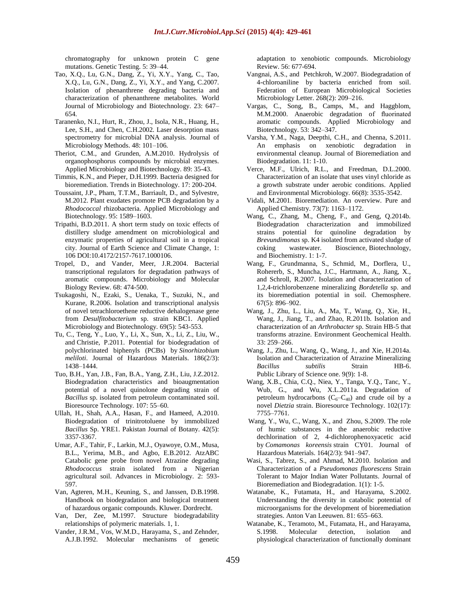chromatography for unknown protein C gene mutations. Genetic Testing. 5: 39–44.

- Tao, X.Q., Lu, G.N., Dang, Z., Yi, X.Y., Yang, C., Tao, X.Q., Lu, G.N., Dang, Z., Yi, X.Y., and Yang, C.2007. Isolation of phenanthrene degrading bacteria and characterization of phenanthrene metabolites. World Journal of Microbiology and Biotechnology. 23: 647– 654.
- Taranenko, N.I., Hurt, R., Zhou, J., Isola, N.R., Huang, H., Lee, S.H., and Chen, C.H.2002. Laser desorption mass spectrometry for microbial DNA analysis. Journal of Microbiology Methods. 48: 101–106.
- Theriot, C.M., and Grunden, A.M.2010. Hydrolysis of organophosphorus compounds by microbial enzymes. Applied Microbiology and Biotechnology. 89: 35-43.
- Timmis, K.N., and Pieper, D.H.1999. Bacteria designed for bioremediation. Trends in Biotechnology. 17: 200-204.
- Toussaint, J.P., Pham, T.T.M., Barriault, D., and Sylvestre, M.2012. Plant exudates promote PCB degradation by a *Rhodococcal* rhizobacteria. Applied Microbiology and Biotechnology. 95: 1589–1603.
- Tripathi, B.D.2011. A short term study on toxic effects of distillery sludge amendment on microbiological and enzymatic properties of agricultural soil in a tropical city. Journal of Earth Science and Climate Change, 1: 106 DOI:10.4172/2157-7617.1000106.
- Tropel, D., and Vander, Meer, J.R.2004. Bacterial transcriptional regulators for degradation pathways of aromatic compounds. Microbiology and Molecular Biology Review. 68: 474-500.
- Tsukagoshi, N., Ezaki, S., Uenaka, T., Suzuki, N., and Kurane, R.2006. Isolation and transcriptional analysis of novel tetrachloroethene reductive dehalogenase gene from *Desulfitobacterium* sp. strain KBC1. Applied Microbiology and Biotechnology. 69(5): 543-553.
- [Tu,](http://www.sciencedirect.com/science/article/pii/S0304389410015864) C., [Teng,](http://www.sciencedirect.com/science/article/pii/S0304389410015864) Y., [Luo,](http://www.sciencedirect.com/science/article/pii/S0304389410015864) Y., [Li,](http://www.sciencedirect.com/science/article/pii/S0304389410015864) X., [Sun,](http://www.sciencedirect.com/science/article/pii/S0304389410015864) X., [Li,](http://www.sciencedirect.com/science/article/pii/S0304389410015864) Z., [Liu,](http://www.sciencedirect.com/science/article/pii/S0304389410015864) W., and [Christie,](http://www.sciencedirect.com/science/article/pii/S0304389410015864) P.2011. Potential for biodegradation of polychlorinated biphenyls (PCBs) by *Sinorhizobium meliloti*. [Journal of Hazardous Materials.](http://www.sciencedirect.com/science/journal/03043894) [186\(2/3\)](http://www.sciencedirect.com/science/journal/03043894/186/2): 1438–1444.
- Tuo, B.H., Yan, J.B., Fan, B.A., Yang, Z.H., Liu, J.Z.2012. Biodegradation characteristics and bioaugmentation potential of a novel quinolone degrading strain of *Bacillus* sp. isolated from petroleum contaminated soil. Bioresource Technology. 107: 55–60.
- Ullah, H., Shah, A.A., Hasan, F., and Hameed, A.2010. Biodegradation of trinitrotoluene by immobilized *Bacillus* Sp. YRE1. Pakistan Journal of Botany. 42(5): 3357-3367.
- Umar, A.F., Tahir, F., Larkin, M.J., Oyawoye, O.M., Musa, B.L., Yerima, M.B., and Agbo, E.B.2012. AtzABC Catabolic gene probe from novel Atrazine degrading *Rhodococcus* strain isolated from a Nigerian agricultural soil. Advances in Microbiology. 2: 593- 597.
- Van, Agteren, M.H., Keuning, S., and Janssen, D.B.1998. Handbook on biodegradation and biological treatment of hazardous organic compounds. Kluwer. Dordrecht.
- Van, Der, Zee, M.1997. Structure biodegradability relationships of polymeric materials. 1, 1.
- Vander, J.R.M., Vos, W.M.D., Harayama, S., and Zehnder, A.J.B.1992. Molecular mechanisms of genetic

adaptation to xenobiotic compounds. Microbiology Review. 56: 677-694.

- Vangnai, A.S., and Petchkroh, W.2007. Biodegradation of 4-chloroaniline by bacteria enriched from soil. Federation of European Microbiological Societies Microbiology Letter. 268(2): 209–216.
- Vargas, C., Song, B., Camps, M., and Haggblom, M.M.2000. Anaerobic degradation of fluorinated aromatic compounds. Applied Microbiology and Biotechnology. 53: 342–347.
- Varsha, Y.M., Naga, Deepthi, C.H., and Chenna, S.2011. An emphasis on xenobiotic degradation in environmental cleanup. Journal of Bioremediation and Biodegradation. 11: 1-10.
- Verce, M.F., Ulrich, R.L., and Freedman, D.L.2000. Characterization of an isolate that uses vinyl chloride as a growth substrate under aerobic conditions. Applied and Environmental Microbiology. 66(8): 3535-3542.
- Vidali, M.2001. Bioremediation. An overview. Pure and Applied Chemistry. 73(7): 1163–1172.
- Wang, C., Zhang, M., Cheng, F., and Geng, Q.2014b. Biodegradation characterization and immobilized strains potential for quinoline degradation by *Brevundimonas* sp. K4 isolated from activated sludge of coking wastewater. Bioscience, Biotechnology, and Biochemistry. 1: 1-7.
- Wang, F., Grundmanna, S., Schmid, M., Dorflera, U., Rohererb, S., Muncha, J.C., Hartmann, A., Jiang, X., and Schroll, R.2007. Isolation and characterization of 1,2,4-trichlorobenzene mineralizing *Bordetella* sp. and its bioremediation potential in soil. Chemosphere. 67(5): 896–902.
- Wang, J., Zhu, L., Liu, A., Ma, T., Wang, Q., Xie, H., Wang, J., Jiang, T., and Zhao, R.2011b. Isolation and characterization of an *Arthrobacter* sp. Strain HB-5 that transforms atrazine. Environment Geochemical Health. 33: 259–266.
- Wang, J., Zhu, L., Wang, Q., Wang, J., and Xie, H.2014a. Isolation and Characterization of Atrazine Mineralizing *Bacillus subtilis* Strain HB-6. Public Library of Science one. 9(9): 1-8.
- Wang, X.B., Chia, C.Q., Niea, Y., Tanga, Y.Q., Tanc, Y., Wub, G., and Wu, X.L.2011a. Degradation of petroleum hydrocarbons  $(C_6-C_{40})$  and crude oil by a novel *Dietzia* strain. Bioresource Technology. 102(17): 7755–7761.
- [Wang,](http://www.sciencedirect.com/science/article/pii/S0304389408013125) Y., [Wu,](http://www.sciencedirect.com/science/article/pii/S0304389408013125) C., [Wang,](http://www.sciencedirect.com/science/article/pii/S0304389408013125) X., and [Zhou,](http://www.sciencedirect.com/science/article/pii/S0304389408013125) S.2009. The role of humic substances in the anaerobic reductive dechlorination of 2, 4-dichlorophenoxyacetic acid by *Comamonas koreensis* strain CY01. [Journal of](http://www.sciencedirect.com/science/journal/03043894)  [Hazardous Materials.](http://www.sciencedirect.com/science/journal/03043894) [164\(2/3\)](http://www.sciencedirect.com/science/journal/03043894/164/2): 941–947.
- Wasi, S., Tabrez, S., and Ahmad, M.2010. Isolation and Characterization of a *Pseudomonas fluorescens* Strain Tolerant to Major Indian Water Pollutants. Journal of Bioremediation and Biodegradation. 1(1): 1-5.
- Watanabe, K., Futamata, H., and Harayama, S.2002. Understanding the diversity in catabolic potential of microorganisms for the development of bioremediation strategies. Anton Van Leeuwen. 81: 655–663.
- Watanabe, K., Teramoto, M., Futamata, H., and Harayama, S.1998. Molecular detection, isolation and physiological characterization of functionally dominant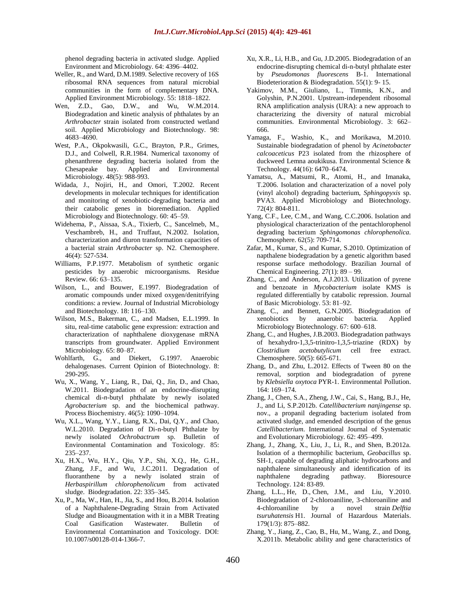phenol degrading bacteria in activated sludge. Applied Environment and Microbiology. 64: 4396–4402.

- Weller, R., and Ward, D.M.1989. Selective recovery of 16S ribosomal RNA sequences from natural microbial communities in the form of complementary DNA. Applied Environment Microbiology. 55: 1818–1822.
- Wen, Z.D., Gao, D.W., and Wu, W.M.2014. Biodegradation and kinetic analysis of phthalates by an *Arthrobacter* strain isolated from constructed wetland soil. Applied Microbiology and Biotechnology. 98: 4683–4690.
- West, P.A., Okpokwasili, G.C., Brayton, P.R., Grimes, D.J., and Colwell, R.R.1984. Numerical taxonomy of phenanthrene degrading bacteria isolated from the Chesapeake bay. Applied and Environmental Microbiology. 48(5): 988-993.
- Widada, J., Nojiri, H., and Omori, T.2002. Recent developments in molecular techniques for identification and monitoring of xenobiotic-degrading bacteria and their catabolic genes in bioremediation. Applied Microbiology and Biotechnology. 60: 45–59.
- Widehema, P., Aissaa, S.A., Tixierb, C., Sancelmeb, M., Veschambreb, H., and Truffaut, N.2002. Isolation, characterization and diuron transformation capacities of a bacterial strain *Arthrobacter* sp. N2. Chemosphere. 46(4): 527-534.
- Williams, P.P.1977. Metabolism of synthetic organic pesticides by anaerobic microorganisms. Residue Review. 66: 63–135.
- Wilson, L., and Bouwer, E.1997. Biodegradation of aromatic compounds under mixed oxygen/denitrifying conditions: a review. Journal of Industrial Microbiology and Biotechnology. 18: 116–130.
- Wilson, M.S., Bakerman, C., and Madsen, E.L.1999. In situ, real-time catabolic gene expression: extraction and characterization of naphthalene dioxygenase mRNA transcripts from groundwater. Applied Environment Microbiology. 65: 80–87.
- Wohlfarth, G., and Diekert, G.1997. Anaerobic dehalogenases. Current Opinion of Biotechnology. 8: 290-295.
- Wu, X., Wang, Y., Liang, R., Dai, Q., Jin, D., and Chao, W.2011. Biodegradation of an endocrine-disrupting chemical di-*n*-butyl phthalate by newly isolated *Agrobacterium* sp. and the biochemical pathway. [Process Biochemistry.](http://www.sciencedirect.com/science/journal/13595113) [46\(5\)](http://www.sciencedirect.com/science/journal/13595113/46/5): 1090–1094.
- Wu, X.L., Wang, Y.Y., Liang, R.X., Dai, Q.Y., and Chao, W.L.2010. Degradation of Di-n-butyl Phthalate by newly isolated *Ochrobactrum* sp. Bulletin of Environmental Contamination and Toxicology. 85: 235–237.
- Xu, H.X., Wu, H.Y., Qiu, Y.P., Shi, X.Q., He, G.H., Zhang, J.F., and Wu, J.C.2011. Degradation of fluoranthene by a newly isolated strain of *Herbaspirillum chlorophenolicum* from activated sludge. Biodegradation. 22: 335–345.
- Xu, P., Ma, W., Han, H., Jia, S., and Hou, B.2014. Isolation of a Naphthalene-Degrading Strain from Activated Sludge and Bioaugmentation with it in a MBR Treating Coal Gasification Wastewater. Bulletin of Environmental Contamination and Toxicology. DOI: 10.1007/s00128-014-1366-7.
- Xu, X.R., Li, H.B., and Gu, J.D.2005. Biodegradation of an endocrine-disrupting chemical di-n-butyl phthalate ester by *Pseudomonas fluorescens* B-1. International Biodeterioration & Biodegradation. 55(1): 9- 15.
- Yakimov, M.M., Giuliano, L., Timmis, K.N., and Golyshin, P.N.2001. Upstream-independent ribosomal RNA amplification analysis (URA): a new approach to characterizing the diversity of natural microbial communities. Environmental Microbiology. 3: 662– 666.
- Yamaga, F., Washio, K., and Morikawa, M.2010. Sustainable biodegradation of phenol by *Acinetobacter calcoaceticus* P23 isolated from the rhizosphere of duckweed Lemna aoukikusa. Environmental Science & Technology. 44(16): 6470–6474.
- Yamatsu, A., Matsumi, R., Atomi, H., and Imanaka, T.2006. Isolation and characterization of a novel poly (vinyl alcohol) degrading bacterium, *Sphingopyxis* sp. PVA3. Applied Microbiology and Biotechnology. 72(4): 804-811.
- Yang, C.F., Lee, C.M., and Wang, C.C.2006. Isolation and physiological characterization of the pentachlorophenol degrading bacterium *Sphingomonas chlorophenolica.* Chemosphere. 62(5): 709-714.
- Zafar, M., Kumar, S., and Kumar, S.2010. Optimization of napthalene biodegradation by a genetic algorithm based response surface methodology. Brazilian Journal of Chemical Engineering.  $27(1)$ : 89 – 99.
- Zhang, C., and Anderson, A.J.2013. Utilization of pyrene and benzoate in *Mycobacterium* isolate KMS is regulated differentially by catabolic repression. Journal of Basic Microbiology. 53: 81–92.
- Zhang, C., and Bennett, G.N.2005. Biodegradation of xenobiotics by anaerobic bacteria. Applied Microbiology Biotechnology. 67: 600–618.
- Zhang, C., and Hughes, J.B.2003. Biodegradation pathways of hexahydro-1,3,5-trinitro-1,3,5-triazine (RDX) by *Clostridium acetobutylicum* cell free extract. Chemosphere. 50(5): 665-671.
- [Zhang,](http://www.sciencedirect.com/science/article/pii/S026974911200053X) D., and [Zhu,](http://www.sciencedirect.com/science/article/pii/S026974911200053X) L.2012. Effects of Tween 80 on the removal, sorption and biodegradation of pyrene by *Klebsiella oxytoca* PYR-1. [Environmental Pollution](http://www.sciencedirect.com/science/journal/02697491)[.](http://www.sciencedirect.com/science/journal/02697491/164/supp/C) [164:](http://www.sciencedirect.com/science/journal/02697491/164/supp/C) 169–174.
- Zhang, J., Chen, S.A., Zheng, J.W., Cai, S., Hang, B.J., He, J., and Li, S.P.2012b. *Catellibacterium nanjingense* sp. nov., a propanil degrading bacterium isolated from activated sludge, and emended description of the genus *Catellibacterium*. International Journal of Systematic and Evolutionary Microbiology. 62: 495–499.
- Zhang, J., Zhang, X., Liu, J., Li, R., and Shen, B.2012a. Isolation of a thermophilic bacterium, *Geobacillus* sp. SH-1, capable of degrading aliphatic hydrocarbons and naphthalene simultaneously and identification of its naphthalene degrading pathway. Bioresource Technology. 124: 83-89.
- [Zhang,](http://www.sciencedirect.com/science/article/pii/S0304389410003924) L.L., [He,](http://www.sciencedirect.com/science/article/pii/S0304389410003924) D., [Chen,](http://www.sciencedirect.com/science/article/pii/S0304389410003924) J.M., and [Liu,](http://www.sciencedirect.com/science/article/pii/S0304389410003924) Y.2010. Biodegradation of 2-chloroaniline, 3-chloroaniline and 4-chloroaniline by a novel strain *Delftia tsuruhatensis* H1. [Journal of Hazardous Materials.](http://www.sciencedirect.com/science/journal/03043894) [179\(1/3\)](http://www.sciencedirect.com/science/journal/03043894/179/1): 875–882.
- Zhang, Y., Jiang, Z., Cao, B., Hu, M., Wang, Z., and Dong, X.2011b. Metabolic ability and gene characteristics of